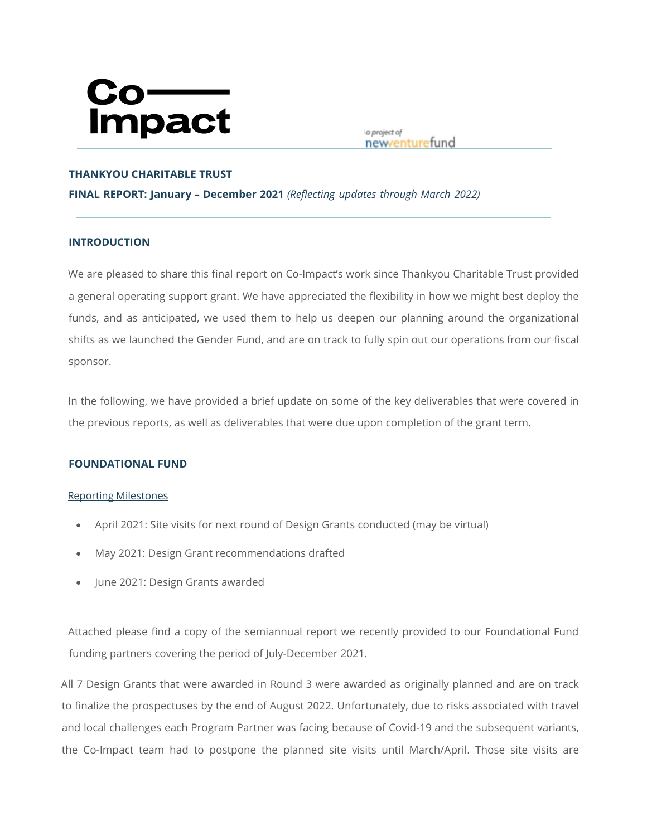

a project of newventurefund

## **THANKYOU CHARITABLE TRUST**

**FINAL REPORT: January – December 2021** *(Reflecting updates through March 2022)*

#### **INTRODUCTION**

We are pleased to share this final report on Co-Impact's work since Thankyou Charitable Trust provided a general operating support grant. We have appreciated the flexibility in how we might best deploy the funds, and as anticipated, we used them to help us deepen our planning around the organizational shifts as we launched the Gender Fund, and are on track to fully spin out our operations from our fiscal sponsor.

In the following, we have provided a brief update on some of the key deliverables that were covered in the previous reports, as well as deliverables that were due upon completion of the grant term.

#### **FOUNDATIONAL FUND**

#### Reporting Milestones

- April 2021: Site visits for next round of Design Grants conducted (may be virtual)
- May 2021: Design Grant recommendations drafted
- June 2021: Design Grants awarded

Attached please find a copy of the semiannual report we recently provided to our Foundational Fund funding partners covering the period of July-December 2021.

All 7 Design Grants that were awarded in Round 3 were awarded as originally planned and are on track to finalize the prospectuses by the end of August 2022. Unfortunately, due to risks associated with travel and local challenges each Program Partner was facing because of Covid-19 and the subsequent variants, the Co-Impact team had to postpone the planned site visits until March/April. Those site visits are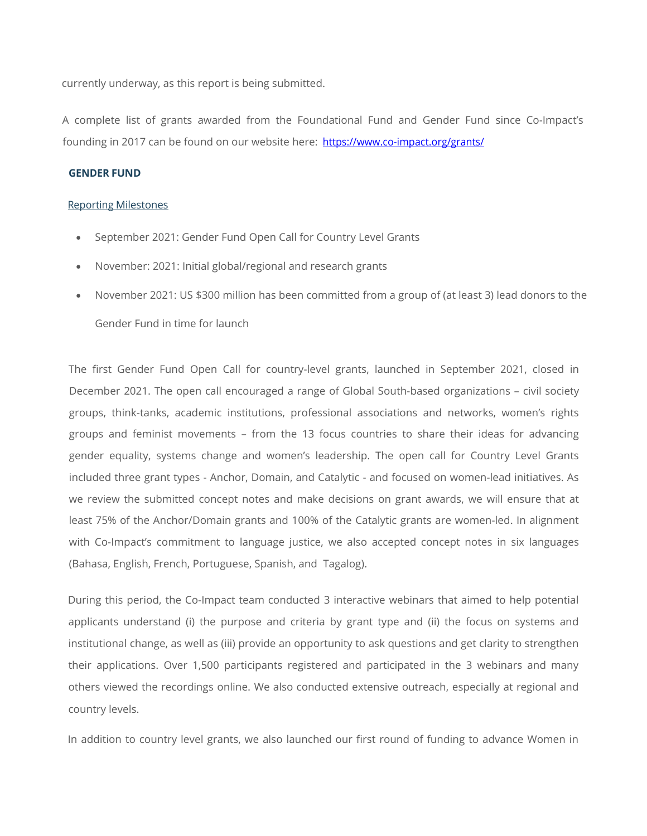currently underway, as this report is being submitted.

A complete list of grants awarded from the Foundational Fund and Gender Fund since Co-Impact's founding in 2017 can be found on our website here: <https://www.co-impact.org/grants/>

#### **GENDER FUND**

#### Reporting Milestones

- September 2021: Gender Fund Open Call for Country Level Grants
- November: 2021: Initial global/regional and research grants
- November 2021: US \$300 million has been committed from a group of (at least 3) lead donors to the Gender Fund in time for launch

The first Gender Fund Open Call for country-level grants, launched in September 2021, closed in December 2021. The open call encouraged a range of Global South-based organizations – civil society groups, think-tanks, academic institutions, professional associations and networks, women's rights groups and feminist movements – from the 13 focus countries to share their ideas for advancing gender equality, systems change and women's leadership. The open call for Country Level Grants included three grant types - Anchor, Domain, and Catalytic - and focused on women-lead initiatives. As we review the submitted concept notes and make decisions on grant awards, we will ensure that at least 75% of the Anchor/Domain grants and 100% of the Catalytic grants are women-led. In alignment with Co-Impact's commitment to language justice, we also accepted concept notes in six languages (Bahasa, English, French, Portuguese, Spanish, and Tagalog).

During this period, the Co-Impact team conducted 3 interactive webinars that aimed to help potential applicants understand (i) the purpose and criteria by grant type and (ii) the focus on systems and institutional change, as well as (iii) provide an opportunity to ask questions and get clarity to strengthen their applications. Over 1,500 participants registered and participated in the 3 webinars and many others viewed the recordings online. We also conducted extensive outreach, especially at regional and country levels.

In addition to country level grants, we also launched our first round of funding to advance Women in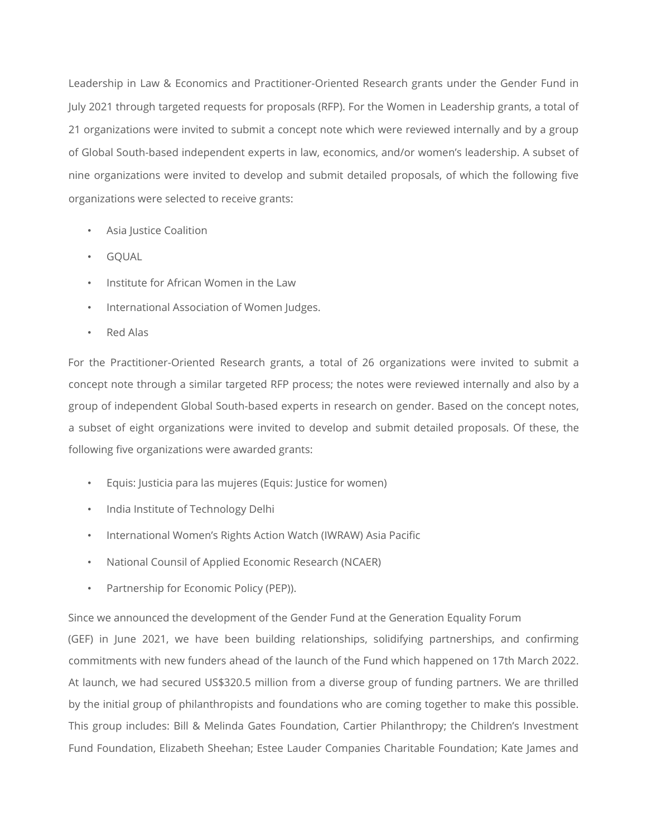Leadership in Law & Economics and Practitioner-Oriented Research grants under the Gender Fund in July 2021 through targeted requests for proposals (RFP). For the Women in Leadership grants, a total of 21 organizations were invited to submit a concept note which were reviewed internally and by a group of Global South-based independent experts in law, economics, and/or women's leadership. A subset of nine organizations were invited to develop and submit detailed proposals, of which the following five organizations were selected to receive grants:

- Asia Justice Coalition
- GQUAL
- Institute for African Women in the Law
- International Association of Women Judges.
- Red Alas

For the Practitioner-Oriented Research grants, a total of 26 organizations were invited to submit a concept note through a similar targeted RFP process; the notes were reviewed internally and also by a group of independent Global South-based experts in research on gender. Based on the concept notes, a subset of eight organizations were invited to develop and submit detailed proposals. Of these, the following five organizations were awarded grants:

- Equis: Justicia para las mujeres (Equis: Justice for women)
- India Institute of Technology Delhi
- International Women's Rights Action Watch (IWRAW) Asia Pacific
- National Counsil of Applied Economic Research (NCAER)
- Partnership for Economic Policy (PEP)).

Since we announced the development of the Gender Fund at the Generation Equality Forum

(GEF) in June 2021, we have been building relationships, solidifying partnerships, and confirming commitments with new funders ahead of the launch of the Fund which happened on 17th March 2022. At launch, we had secured US\$320.5 million from a diverse group of funding partners. We are thrilled by the initial group of philanthropists and foundations who are coming together to make this possible. This group includes: Bill & Melinda Gates Foundation, Cartier Philanthropy; the Children's Investment Fund Foundation, Elizabeth Sheehan; Estee Lauder Companies Charitable Foundation; Kate James and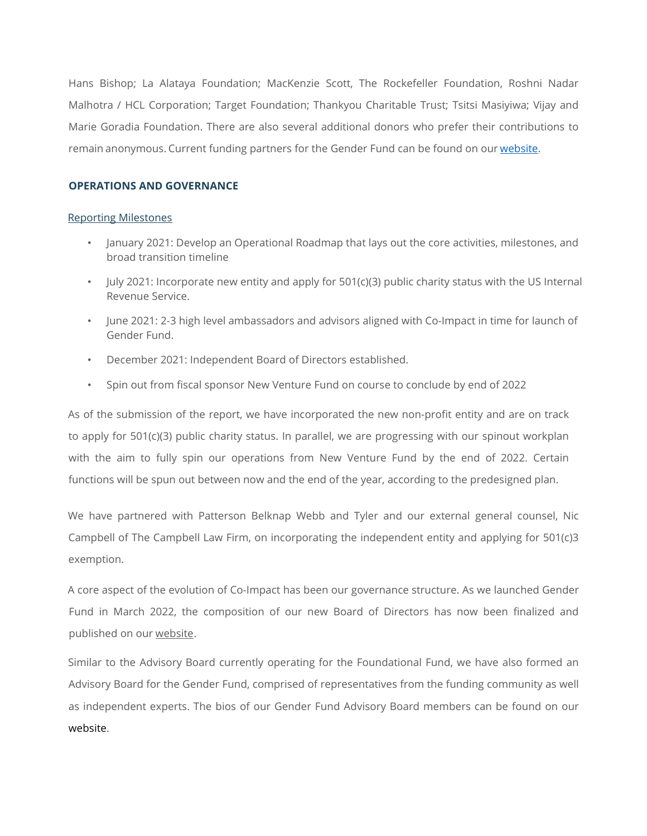Hans Bishop; La Alataya Foundation; MacKenzie Scott, The Rockefeller Foundation, Roshni Nadar Malhotra / HCL Corporation; Target Foundation; Thankyou Charitable Trust; Tsitsi Masiyiwa; Vijay and Marie Goradia Foundation. There are also several additional donors who prefer their contributions to remain anonymous. Current funding partners for the Gender Fund can be found on our [website.](https://www.co-impact.org/gender-fund-funding-partners/)

## **OPERATIONS AND GOVERNANCE**

#### Reporting Milestones

- January 2021: Develop an Operational Roadmap that lays out the core activities, milestones, and broad transition timeline
- July 2021: Incorporate new entity and apply for 501(c)(3) public charity status with the US Internal Revenue Service.
- June 2021: 2-3 high level ambassadors and advisors aligned with Co-Impact in time for launch of Gender Fund.
- December 2021: Independent Board of Directors established.
- Spin out from fiscal sponsor New Venture Fund on course to conclude by end of 2022

As of the submission of the report, we have incorporated the new non-profit entity and are on track to apply for 501(c)(3) public charity status. In parallel, we are progressing with our spinout workplan with the aim to fully spin our operations from New Venture Fund by the end of 2022. Certain functions will be spun out between now and the end of the year, according to the predesigned plan.

We have partnered with Patterson Belknap Webb and Tyler and our external general counsel, Nic Campbell of The Campbell Law Firm, on incorporating the independent entity and applying for 501(c)3 exemption.

A core aspect of the evolution of Co-Impact has been our governance structure. As we launched Gender Fund in March 2022, the composition of our new Board of Directors has now been finalized and published on our [website.](https://www.co-impact.org/our-governance/)

Similar to the Advisory Board currently operating for the Foundational Fund, we have also formed an Advisory Board for the Gender Fund, comprised of representatives from the funding community as well as independent experts. The bios of our Gender Fund Advisory Board members can be found on our [website.](https://www.co-impact.org/gender-fund-advisory-board/)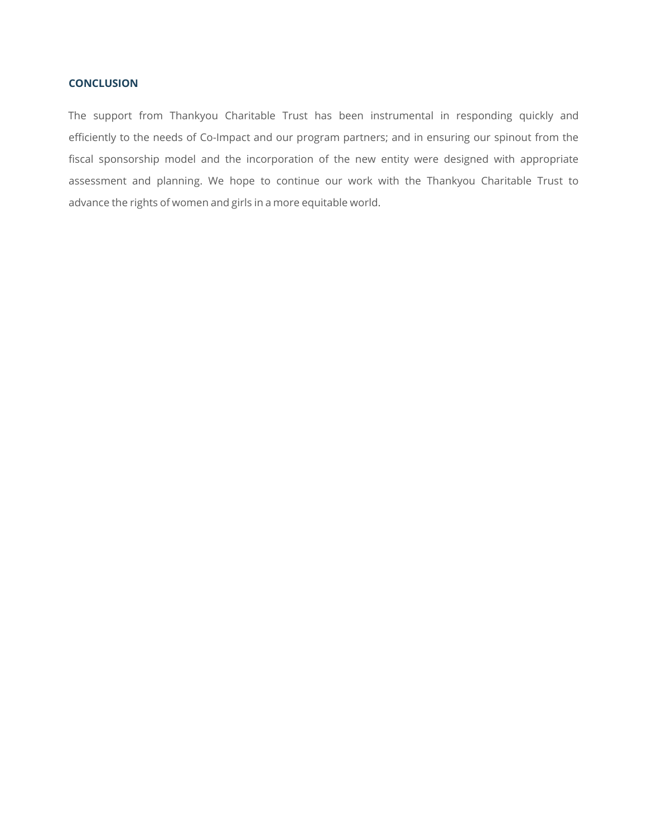## **CONCLUSION**

The support from Thankyou Charitable Trust has been instrumental in responding quickly and efficiently to the needs of Co-Impact and our program partners; and in ensuring our spinout from the fiscal sponsorship model and the incorporation of the new entity were designed with appropriate assessment and planning. We hope to continue our work with the Thankyou Charitable Trust to advance the rights of women and girls in a more equitable world.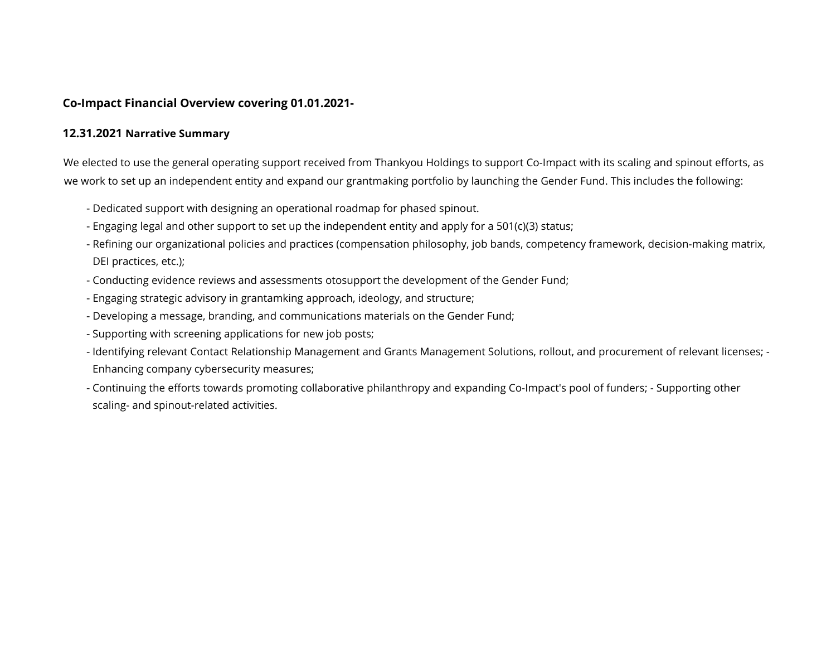# **Co-Impact Financial Overview covering 01.01.2021-**

# **12.31.2021 Narrative Summary**

We elected to use the general operating support received from Thankyou Holdings to support Co-Impact with its scaling and spinout efforts, as we work to set up an independent entity and expand our grantmaking portfolio by launching the Gender Fund. This includes the following:

- Dedicated support with designing an operational roadmap for phased spinout.
- Engaging legal and other support to set up the independent entity and apply for a 501(c)(3) status;
- Refining our organizational policies and practices (compensation philosophy, job bands, competency framework, decision-making matrix, DEI practices, etc.);
- Conducting evidence reviews and assessments otosupport the development of the Gender Fund;
- Engaging strategic advisory in grantamking approach, ideology, and structure;
- Developing a message, branding, and communications materials on the Gender Fund;
- Supporting with screening applications for new job posts;
- Identifying relevant Contact Relationship Management and Grants Management Solutions, rollout, and procurement of relevant licenses; Enhancing company cybersecurity measures;
- Continuing the efforts towards promoting collaborative philanthropy and expanding Co-Impact's pool of funders; Supporting other scaling- and spinout-related activities.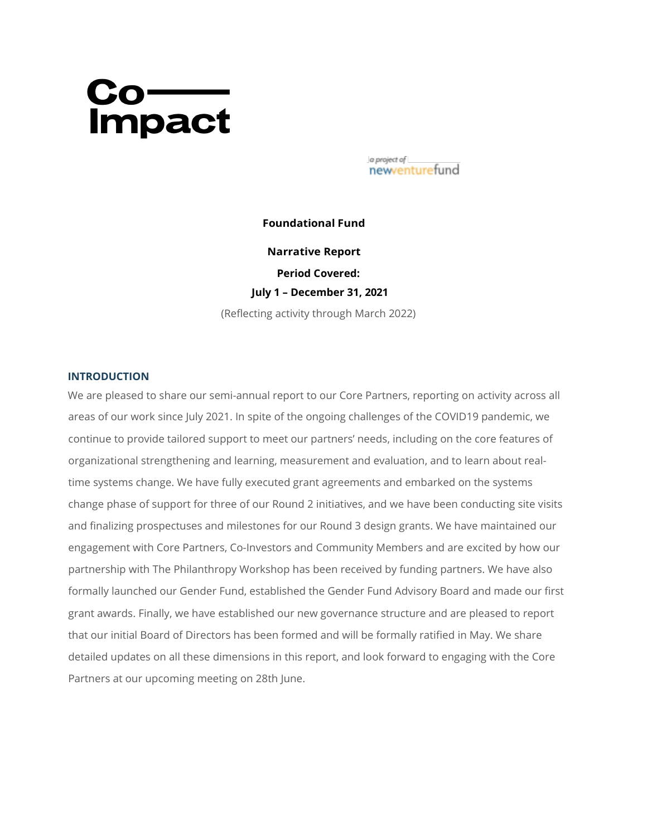# Co-

a project of newventurefund

#### **Foundational Fund**

**Narrative Report Period Covered: July 1 – December 31, 2021**

(Reflecting activity through March 2022)

#### **INTRODUCTION**

We are pleased to share our semi-annual report to our Core Partners, reporting on activity across all areas of our work since July 2021. In spite of the ongoing challenges of the COVID19 pandemic, we continue to provide tailored support to meet our partners' needs, including on the core features of organizational strengthening and learning, measurement and evaluation, and to learn about realtime systems change. We have fully executed grant agreements and embarked on the systems change phase of support for three of our Round 2 initiatives, and we have been conducting site visits and finalizing prospectuses and milestones for our Round 3 design grants. We have maintained our engagement with Core Partners, Co-Investors and Community Members and are excited by how our partnership with The Philanthropy Workshop has been received by funding partners. We have also formally launched our Gender Fund, established the Gender Fund Advisory Board and made our first grant awards. Finally, we have established our new governance structure and are pleased to report that our initial Board of Directors has been formed and will be formally ratified in May. We share detailed updates on all these dimensions in this report, and look forward to engaging with the Core Partners at our upcoming meeting on 28th June.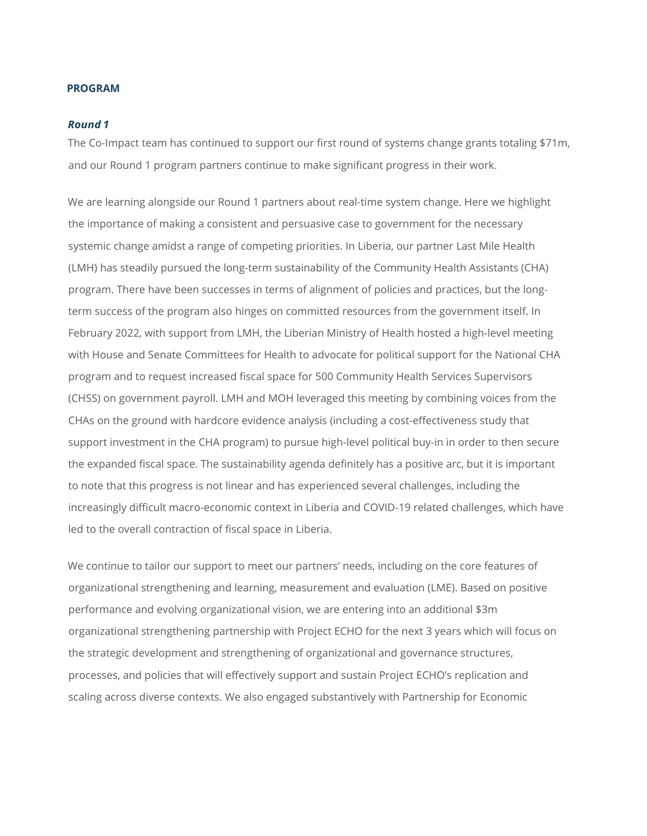#### **PROGRAM**

#### *Round 1*

The Co-Impact team has continued to support our first round of systems change grants totaling \$71m, and our Round 1 program partners continue to make significant progress in their work.

We are learning alongside our Round 1 partners about real-time system change. Here we highlight the importance of making a consistent and persuasive case to government for the necessary systemic change amidst a range of competing priorities. In Liberia, our partner Last Mile Health (LMH) has steadily pursued the long-term sustainability of the Community Health Assistants (CHA) program. There have been successes in terms of alignment of policies and practices, but the longterm success of the program also hinges on committed resources from the government itself. In February 2022, with support from LMH, the Liberian Ministry of Health hosted a high-level meeting with House and Senate Committees for Health to advocate for political support for the National CHA program and to request increased fiscal space for 500 Community Health Services Supervisors (CHSS) on government payroll. LMH and MOH leveraged this meeting by combining voices from the CHAs on the ground with hardcore evidence analysis (including a cost-effectiveness study that support investment in the CHA program) to pursue high-level political buy-in in order to then secure the expanded fiscal space. The sustainability agenda definitely has a positive arc, but it is important to note that this progress is not linear and has experienced several challenges, including the increasingly difficult macro-economic context in Liberia and COVID-19 related challenges, which have led to the overall contraction of fiscal space in Liberia.

We continue to tailor our support to meet our partners' needs, including on the core features of organizational strengthening and learning, measurement and evaluation (LME). Based on positive performance and evolving organizational vision, we are entering into an additional \$3m organizational strengthening partnership with Project ECHO for the next 3 years which will focus on the strategic development and strengthening of organizational and governance structures, processes, and policies that will effectively support and sustain Project ECHO's replication and scaling across diverse contexts. We also engaged substantively with Partnership for Economic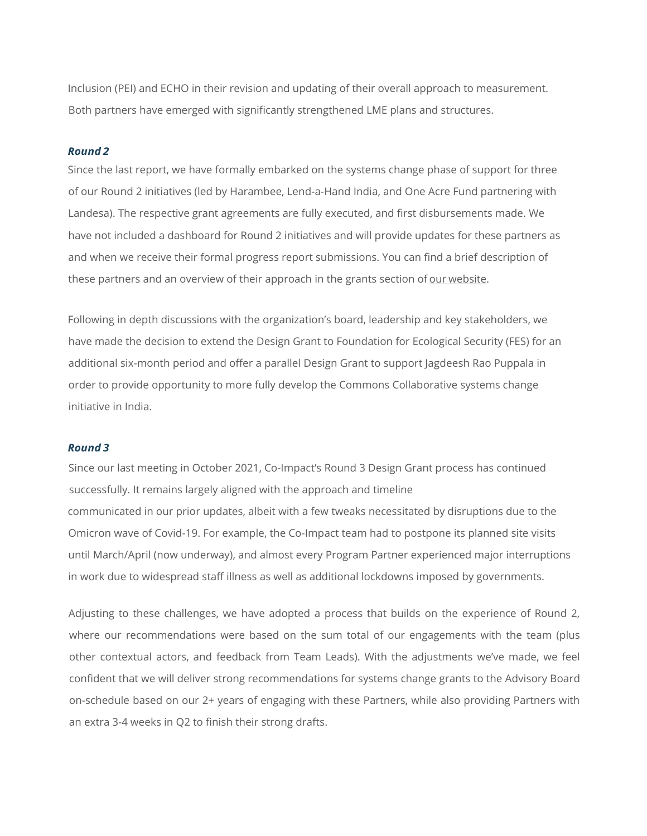Inclusion (PEI) and ECHO in their revision and updating of their overall approach to measurement. Both partners have emerged with significantly strengthened LME plans and structures.

#### *Round 2*

Since the last report, we have formally embarked on the systems change phase of support for three of our Round 2 initiatives (led by Harambee, Lend-a-Hand India, and One Acre Fund partnering with Landesa). The respective grant agreements are fully executed, and first disbursements made. We have not included a dashboard for Round 2 initiatives and will provide updates for these partners as and when we receive their formal progress report submissions. You can find a brief description of these partners and an overview of their approach in the grants section of our [website.](https://www.co-impact.org/grants/)

Following in depth discussions with the organization's board, leadership and key stakeholders, we have made the decision to extend the Design Grant to Foundation for Ecological Security (FES) for an additional six-month period and offer a parallel Design Grant to support Jagdeesh Rao Puppala in order to provide opportunity to more fully develop the Commons Collaborative systems change initiative in India.

#### *Round 3*

Since our last meeting in October 2021, Co-Impact's Round 3 Design Grant process has continued successfully. It remains largely aligned with the approach and timeline communicated in our prior updates, albeit with a few tweaks necessitated by disruptions due to the Omicron wave of Covid-19. For example, the Co-Impact team had to postpone its planned site visits until March/April (now underway), and almost every Program Partner experienced major interruptions in work due to widespread staff illness as well as additional lockdowns imposed by governments.

Adjusting to these challenges, we have adopted a process that builds on the experience of Round 2, where our recommendations were based on the sum total of our engagements with the team (plus other contextual actors, and feedback from Team Leads). With the adjustments we've made, we feel confident that we will deliver strong recommendations for systems change grants to the Advisory Board on-schedule based on our 2+ years of engaging with these Partners, while also providing Partners with an extra 3-4 weeks in Q2 to finish their strong drafts.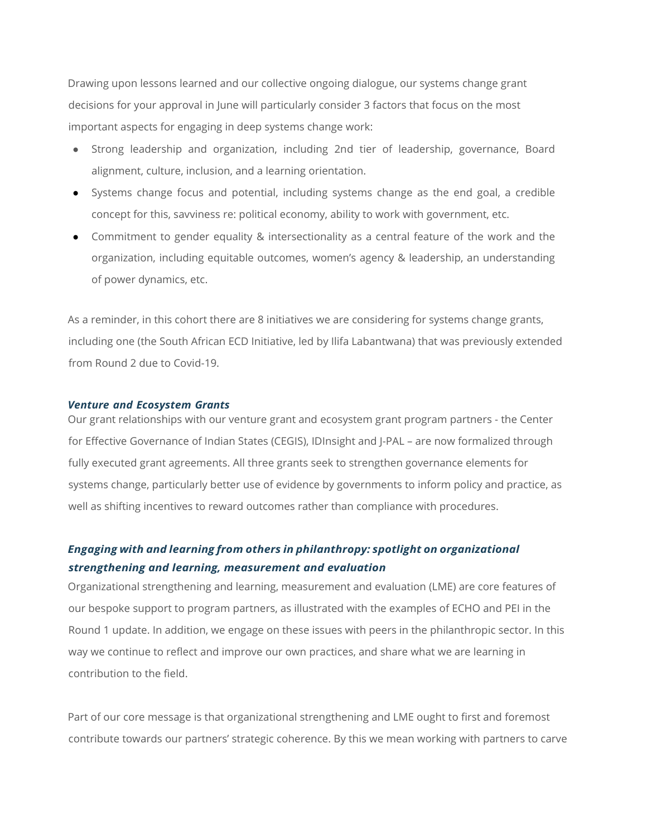Drawing upon lessons learned and our collective ongoing dialogue, our systems change grant decisions for your approval in June will particularly consider 3 factors that focus on the most important aspects for engaging in deep systems change work:

- Strong leadership and organization, including 2nd tier of leadership, governance, Board alignment, culture, inclusion, and a learning orientation.
- Systems change focus and potential, including systems change as the end goal, a credible concept for this, savviness re: political economy, ability to work with government, etc.
- Commitment to gender equality & intersectionality as a central feature of the work and the organization, including equitable outcomes, women's agency & leadership, an understanding of power dynamics, etc.

As a reminder, in this cohort there are 8 initiatives we are considering for systems change grants, including one (the South African ECD Initiative, led by Ilifa Labantwana) that was previously extended from Round 2 due to Covid-19.

#### *Venture and Ecosystem Grants*

Our grant relationships with our venture grant and ecosystem grant program partners - the Center for Effective Governance of Indian States (CEGIS), IDInsight and J-PAL – are now formalized through fully executed grant agreements. All three grants seek to strengthen governance elements for systems change, particularly better use of evidence by governments to inform policy and practice, as well as shifting incentives to reward outcomes rather than compliance with procedures.

# *Engaging with and learning from others in philanthropy: spotlight on organizational strengthening and learning, measurement and evaluation*

Organizational strengthening and learning, measurement and evaluation (LME) are core features of our bespoke support to program partners, as illustrated with the examples of ECHO and PEI in the Round 1 update. In addition, we engage on these issues with peers in the philanthropic sector. In this way we continue to reflect and improve our own practices, and share what we are learning in contribution to the field.

Part of our core message is that organizational strengthening and LME ought to first and foremost contribute towards our partners' strategic coherence. By this we mean working with partners to carve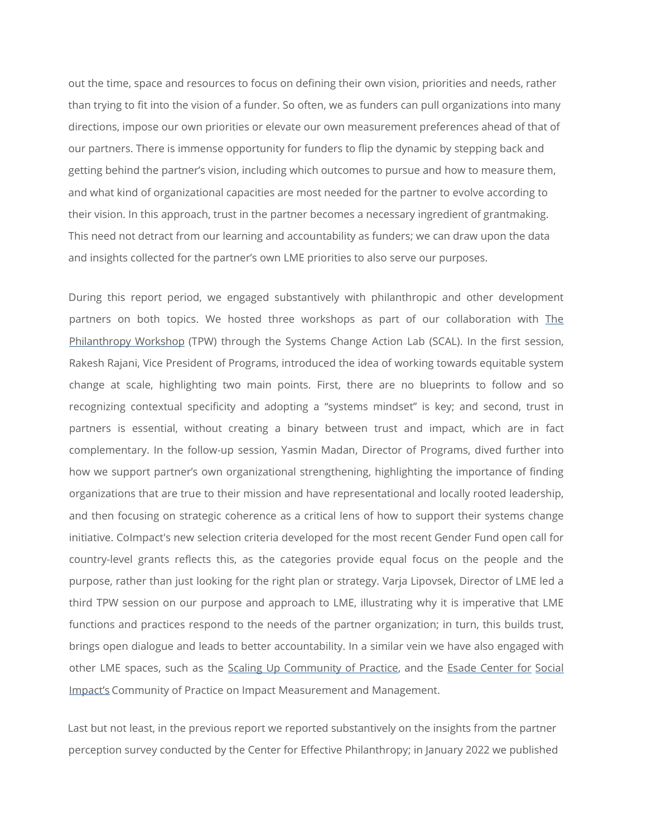out the time, space and resources to focus on defining their own vision, priorities and needs, rather than trying to fit into the vision of a funder. So often, we as funders can pull organizations into many directions, impose our own priorities or elevate our own measurement preferences ahead of that of our partners. There is immense opportunity for funders to flip the dynamic by stepping back and getting behind the partner's vision, including which outcomes to pursue and how to measure them, and what kind of organizational capacities are most needed for the partner to evolve according to their vision. In this approach, trust in the partner becomes a necessary ingredient of grantmaking. This need not detract from our learning and accountability as funders; we can draw upon the data and insights collected for the partner's own LME priorities to also serve our purposes.

During this report period, we engaged substantively with philanthropic and other development partners on bo[th](https://www.tpw.org/) topics. We hosted three workshops as part of our collaboration with [The](https://www.tpw.org/) [Philanthropy](https://www.tpw.org/) Workshop [\(T](https://www.tpw.org/)PW) through the Systems Change Action Lab (SCAL). In the first session, Rakesh Rajani, Vice President of Programs, introduced the idea of working towards equitable system change at scale, highlighting two main points. First, there are no blueprints to follow and so recognizing contextual specificity and adopting a "systems mindset" is key; and second, trust in partners is essential, without creating a binary between trust and impact, which are in fact complementary. In the follow-up session, Yasmin Madan, Director of Programs, dived further into how we support partner's own organizational strengthening, highlighting the importance of finding organizations that are true to their mission and have representational and locally rooted leadership, and then focusing on strategic coherence as a critical lens of how to support their systems change initiative. CoImpact's new selection criteria developed for the most recent Gender Fund open call for country-level grants reflects this, as the categories provide equal focus on the people and the purpose, rather than just looking for the right plan or strategy. Varja Lipovsek, Director of LME led a third TPW session on our purpose and approach to LME, illustrating why it is imperative that LME functions and practices respond to the needs of the partner organization; in turn, this builds trust, brings open dialogue and leads to better accountability. In a similar vein we have also engaged with other LME spaces, such as t[he Scaling Up](https://www.scalingcommunityofpractice.com/events/me-webinar-series-landing-page/#link_acc-2-5-d) [Community](https://www.scalingcommunityofpractice.com/events/me-webinar-series-landing-page/#link_acc-2-5-d) of Practic[e, a](https://www.scalingcommunityofpractice.com/events/me-webinar-series-landing-page/#link_acc-2-5-d)nd t[he E](https://www.esade.edu/en/faculty-and-research/research/knowledge-units/entrepreneurship-institute/think-tanks/social-impact)sade [Center](https://www.esade.edu/en/faculty-and-research/research/knowledge-units/entrepreneurship-institute/think-tanks/social-impact) for [Social](https://www.esade.edu/en/faculty-and-research/research/knowledge-units/entrepreneurship-institute/think-tanks/social-impact) [Impact's](https://www.esade.edu/en/faculty-and-research/research/knowledge-units/entrepreneurship-institute/think-tanks/social-impact) [Co](https://www.esade.edu/en/faculty-and-research/research/knowledge-units/entrepreneurship-institute/think-tanks/social-impact)mmunity of Practice on Impact Measurement and Management.

Last but not least, in the previous report we reported substantively on the insights from the partner perception survey conducted by the Center for Effective Philanthropy; in January 2022 we published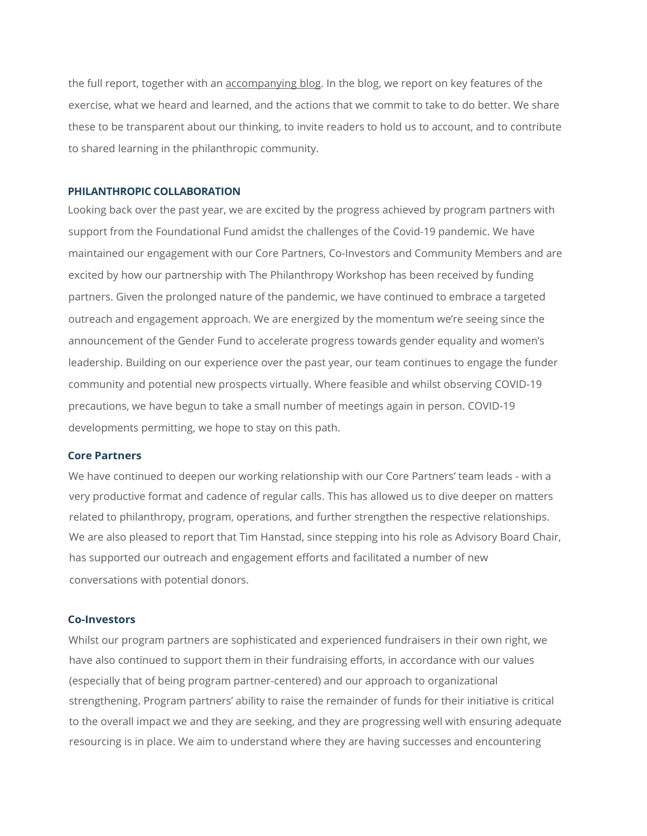the [full report, t](https://www.co-impact.org/wp-content/uploads/2022/01/Co-Impact-Partner-Feedback-Report-May-2021.pdf)ogether with an [accompanying blog. I](https://www.co-impact.org/what-we-learned-from-listening/)n the blog, we report on key features of the exercise, what we heard and learned, and the actions that we commit to take to do better. We share these to be transparent about our thinking, to invite readers to hold us to account, and to contribute to shared learning in the philanthropic community.

## **PHILANTHROPIC COLLABORATION**

Looking back over the past year, we are excited by the progress achieved by program partners with support from the Foundational Fund amidst the challenges of the Covid-19 pandemic. We have maintained our engagement with our Core Partners, Co-Investors and Community Members and are excited by how our partnership with The Philanthropy Workshop has been received by funding partners. Given the prolonged nature of the pandemic, we have continued to embrace a targeted outreach and engagement approach. We are energized by the momentum we're seeing since the announcement of the Gender Fund to accelerate progress towards gender equality and women's leadership. Building on our experience over the past year, our team continues to engage the funder community and potential new prospects virtually. Where feasible and whilst observing COVID-19 precautions, we have begun to take a small number of meetings again in person. COVID-19 developments permitting, we hope to stay on this path.

#### **Core Partners**

We have continued to deepen our working relationship with our Core Partners' team leads - with a very productive format and cadence of regular calls. This has allowed us to dive deeper on matters related to philanthropy, program, operations, and further strengthen the respective relationships. We are also pleased to report that Tim Hanstad, since stepping into his role as Advisory Board Chair, has supported our outreach and engagement efforts and facilitated a number of new conversations with potential donors.

#### **Co-Investors**

Whilst our program partners are sophisticated and experienced fundraisers in their own right, we have also continued to support them in their fundraising efforts, in accordance with our values (especially that of being program partner-centered) and our approach to organizational strengthening. Program partners' ability to raise the remainder of funds for their initiative is critical to the overall impact we and they are seeking, and they are progressing well with ensuring adequate resourcing is in place. We aim to understand where they are having successes and encountering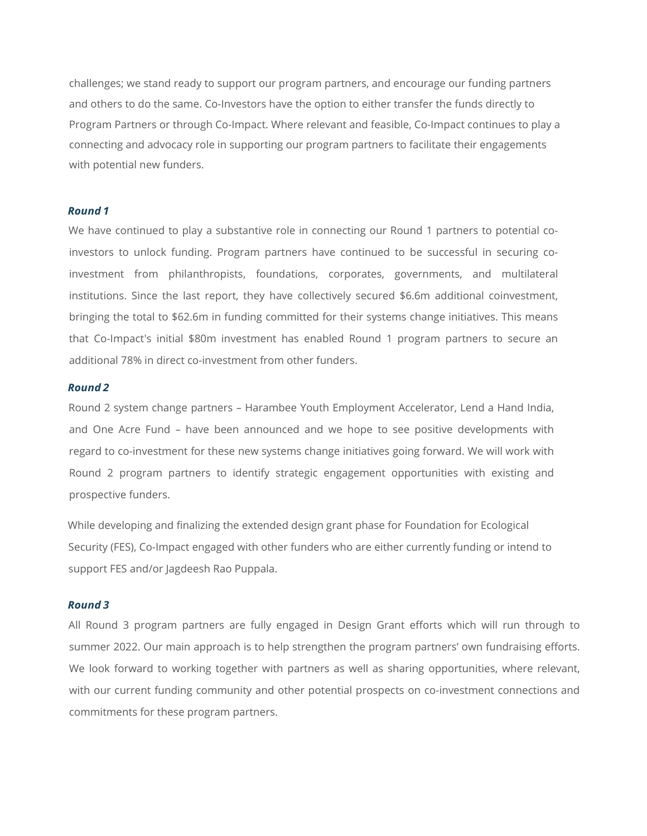challenges; we stand ready to support our program partners, and encourage our funding partners and others to do the same. Co-Investors have the option to either transfer the funds directly to Program Partners or through Co-Impact. Where relevant and feasible, Co-Impact continues to play a connecting and advocacy role in supporting our program partners to facilitate their engagements with potential new funders.

#### *Round 1*

We have continued to play a substantive role in connecting our Round 1 partners to potential coinvestors to unlock funding. Program partners have continued to be successful in securing coinvestment from philanthropists, foundations, corporates, governments, and multilateral institutions. Since the last report, they have collectively secured \$6.6m additional coinvestment, bringing the total to \$62.6m in funding committed for their systems change initiatives. This means that Co-Impact's initial \$80m investment has enabled Round 1 program partners to secure an additional 78% in direct co-investment from other funders.

#### *Round 2*

Round 2 system change partners – Harambee Youth Employment Accelerator, Lend a Hand India, and One Acre Fund – have been announced and we hope to see positive developments with regard to co-investment for these new systems change initiatives going forward. We will work with Round 2 program partners to identify strategic engagement opportunities with existing and prospective funders.

While developing and finalizing the extended design grant phase for Foundation for Ecological Security (FES), Co-Impact engaged with other funders who are either currently funding or intend to support FES and/or Jagdeesh Rao Puppala.

#### *Round 3*

All Round 3 program partners are fully engaged in Design Grant efforts which will run through to summer 2022. Our main approach is to help strengthen the program partners' own fundraising efforts. We look forward to working together with partners as well as sharing opportunities, where relevant, with our current funding community and other potential prospects on co-investment connections and commitments for these program partners.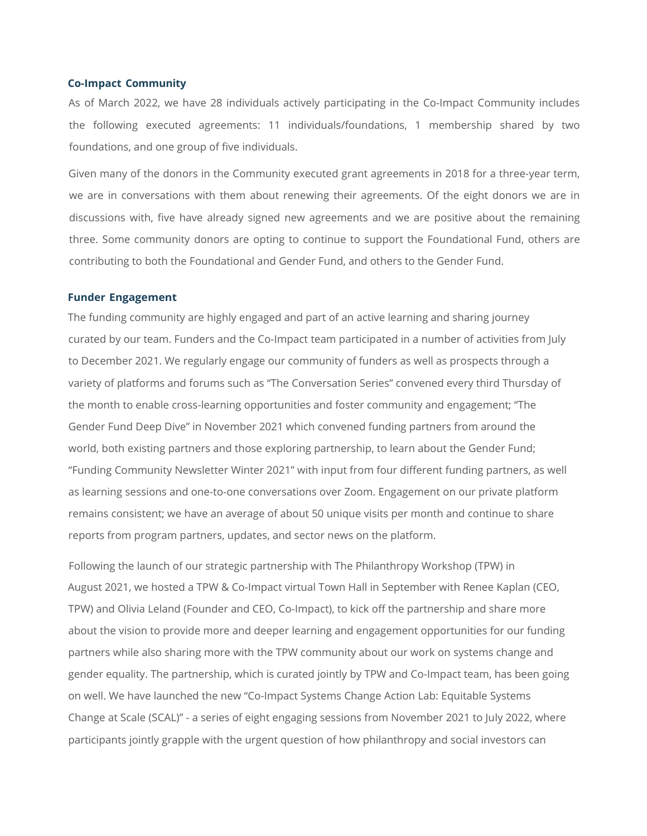#### **Co-Impact Community**

As of March 2022, we have 28 individuals actively participating in the Co-Impact Community includes the following executed agreements: 11 individuals/foundations, 1 membership shared by two foundations, and one group of five individuals.

Given many of the donors in the Community executed grant agreements in 2018 for a three-year term, we are in conversations with them about renewing their agreements. Of the eight donors we are in discussions with, five have already signed new agreements and we are positive about the remaining three. Some community donors are opting to continue to support the Foundational Fund, others are contributing to both the Foundational and Gender Fund, and others to the Gender Fund.

#### **Funder Engagement**

The funding community are highly engaged and part of an active learning and sharing journey curated by our team. Funders and the Co-Impact team participated in a number of activities from July to December 2021. We regularly engage our community of funders as well as prospects through a variety of platforms and forums such as "The Conversation Series" convened every third Thursday of the month to enable cross-learning opportunities and foster community and engagement; "The Gender Fund Deep Dive" in November 2021 which convened funding partners from around the world, both existing partners and those exploring partnership, to learn about the Gender Fund; "Funding Community Newsletter Winter 2021" with input from four different funding partners, as well as learning sessions and one-to-one conversations over Zoom. Engagement on our private platform remains consistent; we have an average of about 50 unique visits per month and continue to share reports from program partners, updates, and sector news on the platform.

Following the launch of our strategic partnership with The Philanthropy Workshop (TPW) in August 2021, we hosted a TPW & Co-Impact virtual Town Hall in September with Renee Kaplan (CEO, TPW) and Olivia Leland (Founder and CEO, Co-Impact), to kick off the partnership and share more about the vision to provide more and deeper learning and engagement opportunities for our funding partners while also sharing more with the TPW community about our work on systems change and gender equality. The partnership, which is curated jointly by TPW and Co-Impact team, has been going on well. We have launched the new "Co-Impact Systems Change Action Lab: Equitable Systems Change at Scale (SCAL)" - a series of eight engaging sessions from November 2021 to July 2022, where participants jointly grapple with the urgent question of how philanthropy and social investors can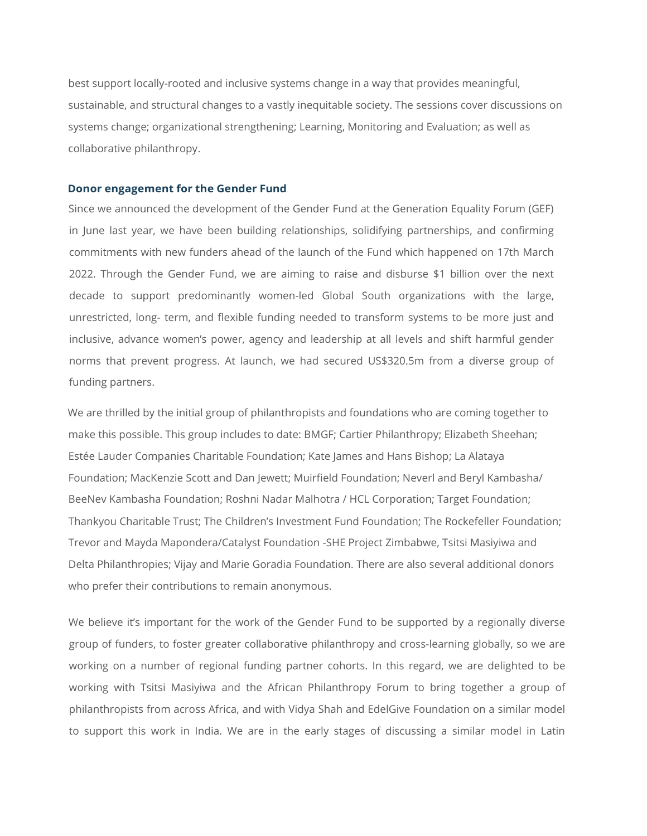best support locally-rooted and inclusive systems change in a way that provides meaningful, sustainable, and structural changes to a vastly inequitable society. The sessions cover discussions on systems change; organizational strengthening; Learning, Monitoring and Evaluation; as well as collaborative philanthropy.

#### **Donor engagement for the Gender Fund**

Since we announced the development of the Gender Fund at the Generation Equality Forum (GEF) in June last year, we have been building relationships, solidifying partnerships, and confirming commitments with new funders ahead of the launch of the Fund which happened on 17th March 2022. Through the Gender Fund, we are aiming to raise and disburse \$1 billion over the next decade to support predominantly women-led Global South organizations with the large, unrestricted, long- term, and flexible funding needed to transform systems to be more just and inclusive, advance women's power, agency and leadership at all levels and shift harmful gender norms that prevent progress. At launch, we had secured US\$320.5m from a diverse group of funding partners.

We are thrilled by the initial group of philanthropists and foundations who are coming together to make this possible. This group includes to date: BMGF; Cartier Philanthropy; Elizabeth Sheehan; Estée Lauder Companies Charitable Foundation; Kate James and Hans Bishop; La Alataya Foundation; MacKenzie Scott and Dan Jewett; Muirfield Foundation; Neverl and Beryl Kambasha/ BeeNev Kambasha Foundation; Roshni Nadar Malhotra / HCL Corporation; Target Foundation; Thankyou Charitable Trust; The Children's Investment Fund Foundation; The Rockefeller Foundation; Trevor and Mayda Mapondera/Catalyst Foundation -SHE Project Zimbabwe, Tsitsi Masiyiwa and Delta Philanthropies; Vijay and Marie Goradia Foundation. There are also several additional donors who prefer their contributions to remain anonymous.

We believe it's important for the work of the Gender Fund to be supported by a regionally diverse group of funders, to foster greater collaborative philanthropy and cross-learning globally, so we are working on a number of regional funding partner cohorts. In this regard, we are delighted to be working with Tsitsi Masiyiwa and the African Philanthropy Forum to bring together a group of philanthropists from across Africa, and with Vidya Shah and EdelGive Foundation on a similar model to support this work in India. We are in the early stages of discussing a similar model in Latin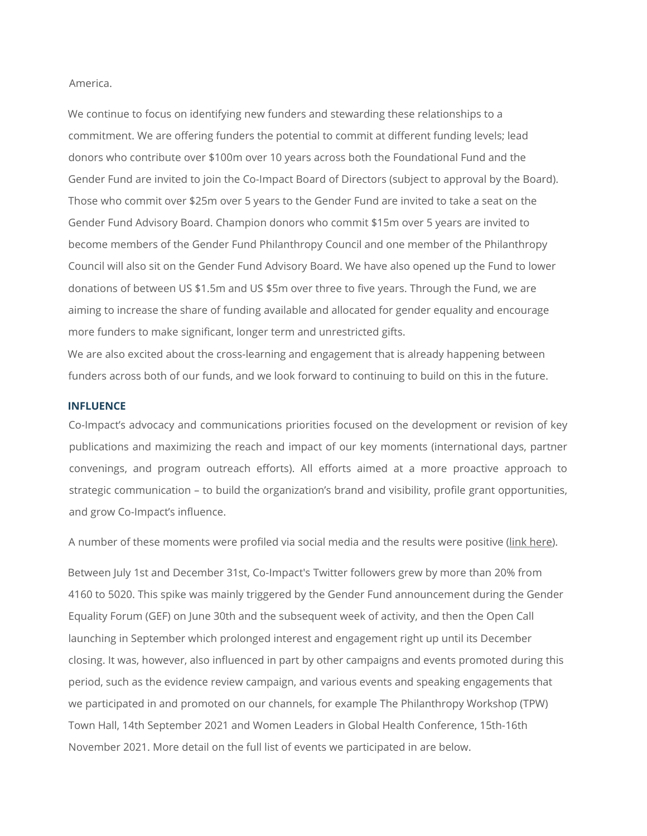America.

We continue to focus on identifying new funders and stewarding these relationships to a commitment. We are offering funders the potential to commit at different funding levels; lead donors who contribute over \$100m over 10 years across both the Foundational Fund and the Gender Fund are invited to join the Co-Impact Board of Directors (subject to approval by the Board). Those who commit over \$25m over 5 years to the Gender Fund are invited to take a seat on the Gender Fund Advisory Board. Champion donors who commit \$15m over 5 years are invited to become members of the Gender Fund Philanthropy Council and one member of the Philanthropy Council will also sit on the Gender Fund Advisory Board. We have also opened up the Fund to lower donations of between US \$1.5m and US \$5m over three to five years. Through the Fund, we are aiming to increase the share of funding available and allocated for gender equality and encourage more funders to make significant, longer term and unrestricted gifts.

We are also excited about the cross-learning and engagement that is already happening between funders across both of our funds, and we look forward to continuing to build on this in the future.

#### **INFLUENCE**

Co-Impact's advocacy and communications priorities focused on the development or revision of key publications and maximizing the reach and impact of our key moments (international days, partner convenings, and program outreach efforts). All efforts aimed at a more proactive approach to strategic communication – to build the organization's brand and visibility, profile grant opportunities, and grow Co-Impact's influence.

A number of these moments were profiled via social media and the results were positive [\(link here\).](https://globalofficeconsulting.coveragebook.com/b/f43e21c7157bbee6)

Between July 1st and December 31st, Co-Impact's Twitter followers grew by more than 20% from 4160 to 5020. This spike was mainly triggered by the Gender Fund announcement during the Gender Equality Forum (GEF) on June 30th and the subsequent week of activity, and then the Open Call launching in September which prolonged interest and engagement right up until its December closing. It was, however, also influenced in part by other campaigns and events promoted during this period, such as the evidence review campaign, and various events and speaking engagements that we participated in and promoted on our channels, for example The Philanthropy Workshop (TPW) Town Hall, 14th September 2021 and Women Leaders in Global Health Conference, 15th-16th November 2021. More detail on the full list of events we participated in are below.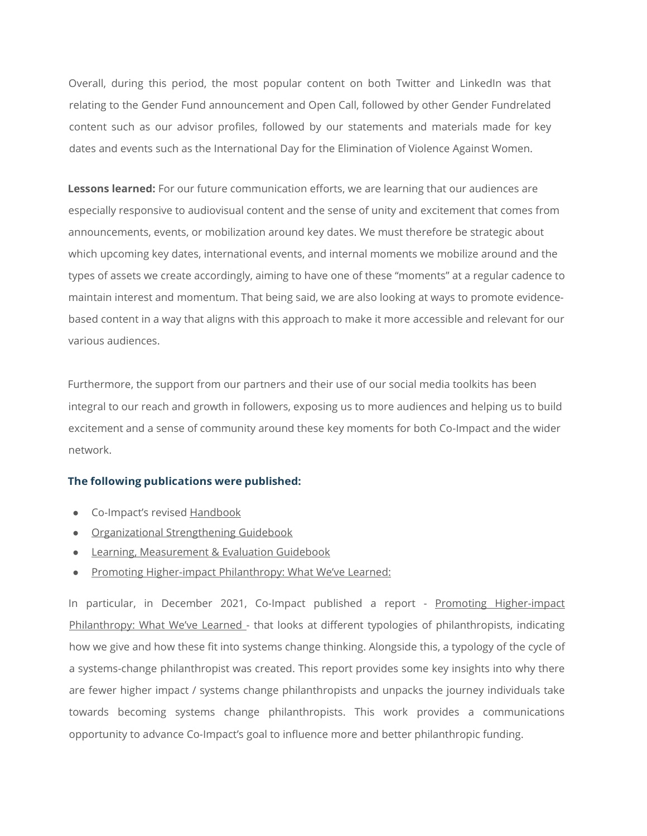Overall, during this period, the most popular content on both Twitter and LinkedIn was that relating to the Gender Fund announcement and Open Call, followed by other Gender Fundrelated content such as our advisor profiles, followed by our statements and materials made for key dates and events such as the International Day for the Elimination of Violence Against Women.

**Lessons learned:** For our future communication efforts, we are learning that our audiences are especially responsive to audiovisual content and the sense of unity and excitement that comes from announcements, events, or mobilization around key dates. We must therefore be strategic about which upcoming key dates, international events, and internal moments we mobilize around and the types of assets we create accordingly, aiming to have one of these "moments" at a regular cadence to maintain interest and momentum. That being said, we are also looking at ways to promote evidencebased content in a way that aligns with this approach to make it more accessible and relevant for our various audiences.

Furthermore, the support from our partners and their use of our social media toolkits has been integral to our reach and growth in followers, exposing us to more audiences and helping us to build excitement and a sense of community around these key moments for both Co-Impact and the wider network.

## **The following publications were published:**

- Co-Impact's revised [Handbook](https://www.co-impact.org/handbook/)
- **[Organizational](https://www.co-impact.org/wp-content/uploads/2021/06/11038-Co-Impact-Strengthening-Report-06.pdf) Strengthening Guidebook**
- Learning, [Measurement & Evaluation](https://www.co-impact.org/wp-content/uploads/2021/09/11088-Co-Impact-LME-Guidebook-01.pdf) Guidebook
- Promoting [Higher-impact](https://www.co-impact.org/wp-content/uploads/2021/12/Co-Impact-Promoting-Higher-Impact-Philanthropy-Nov-2021.pdf) Philanthropy: What We've Learned:

In particular, in December 2021, Co-Impact published a report - [Promoting Higher-impact](https://www.co-impact.org/wp-content/uploads/2021/12/Co-Impact-Promoting-Higher-Impact-Philanthropy-Nov-2021.pdf) [Philanthropy: What We've Learned -](https://www.co-impact.org/wp-content/uploads/2021/12/Co-Impact-Promoting-Higher-Impact-Philanthropy-Nov-2021.pdf) that looks at different typologies of philanthropists, indicating how we give and how these fit into systems change thinking. Alongside this, a typology of the cycle of a systems-change philanthropist was created. This report provides some key insights into why there are fewer higher impact / systems change philanthropists and unpacks the journey individuals take towards becoming systems change philanthropists. This work provides a communications opportunity to advance Co-Impact's goal to influence more and better philanthropic funding.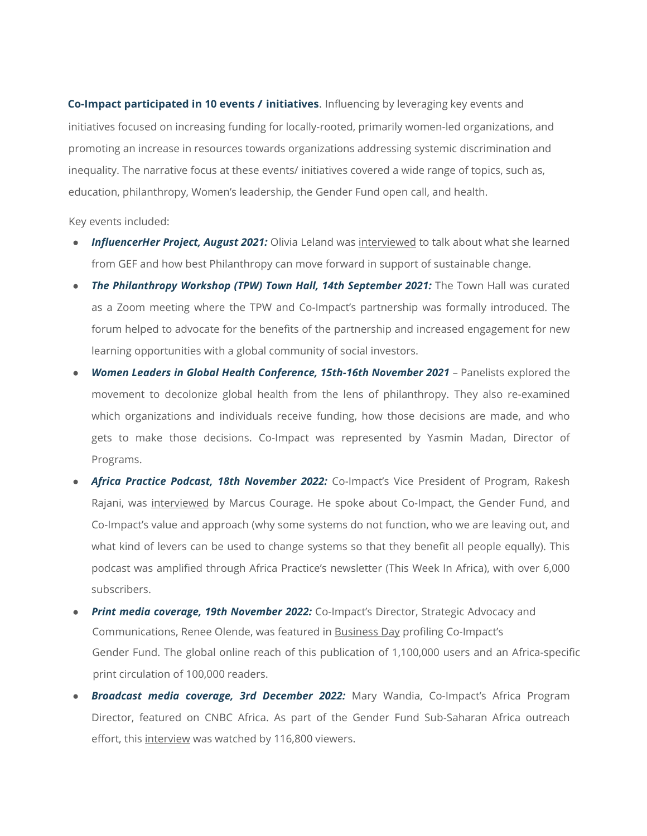**Co-Impact participated in 10 events / initiatives**. Influencing by leveraging key events and initiatives focused on increasing funding for locally-rooted, primarily women-led organizations, and promoting an increase in resources towards organizations addressing systemic discrimination and inequality. The narrative focus at these events/ initiatives covered a wide range of topics, such as, education, philanthropy, Women's leadership, the Gender Fund open call, and health.

Key events included:

- **InfluencerHer Project, August 2021:** Olivia Leland was [interviewed](https://gem.godaddy.com/p/a8d9a21?pact=275-164156011-6b368b0a-ad75-11ea-a2ce-2b44902ff514-92136963ca1f62c556cfa40f6e29f674e63c6fbd) [to](https://gem.godaddy.com/p/a8d9a21?pact=275-164156011-6b368b0a-ad75-11ea-a2ce-2b44902ff514-92136963ca1f62c556cfa40f6e29f674e63c6fbd) talk about what she learned from GEF and how best Philanthropy can move forward in support of sustainable change.
- *The Philanthropy Workshop (TPW) Town Hall, 14th September 2021:* The Town Hall was curated as a Zoom meeting where the TPW and Co-Impact's partnership was formally introduced. The forum helped to advocate for the benefits of the partnership and increased engagement for new learning opportunities with a global community of social investors.
- *Women Leaders in Global Health Conference, 15th-16th November 2021* Panelists explored the movement to decolonize global health from the lens of philanthropy. They also re-examined which organizations and individuals receive funding, how those decisions are made, and who gets to make those decisions. Co-Impact was represented by Yasmin Madan, Director of Programs.
- Africa Practice Podcast, 18th November 2022: Co-Impact's Vice President of Program, Rakesh Rajani, was [interviewed](https://soundcloud.com/africapractice-756217837/rakesh-rajani-co-impact-the-gender-fund) [by](https://soundcloud.com/africapractice-756217837/rakesh-rajani-co-impact-the-gender-fund) Marcus Courage. He spoke about Co-Impact, the Gender Fund, and Co-Impact's value and approach (why some systems do not function, who we are leaving out, and what kind of levers can be used to change systems so that they benefit all people equally). This podcast was amplified through Africa Practice's newsletter (This Week In Africa), with over 6,000 subscribers.
- **Print media coverage, 19th November 2022:** Co-Impact's Director, Strategic Advocacy and Communications, Renee Olende, was featured in [Business Day](https://businessday.ng/interview/article/poverty-harmful-practices-hindering-gender-equality-in-developing-countries-olende/) [pr](https://businessday.ng/interview/article/poverty-harmful-practices-hindering-gender-equality-in-developing-countries-olende/)ofiling Co-Impact's Gender Fund. The global online reach of this publication of 1,100,000 users and an Africa-specific print circulation of 100,000 readers.
- *Broadcast media coverage, 3rd December 2022:* Mary Wandia, Co-Impact's Africa Program Director, featured on CNBC Africa. As part of the Gender Fund Sub-Saharan Africa outreach effort, this [interview](https://www.cnbcafrica.com/media/6285018556001/) [wa](https://www.cnbcafrica.com/media/6285018556001/)s watched by 116,800 viewers.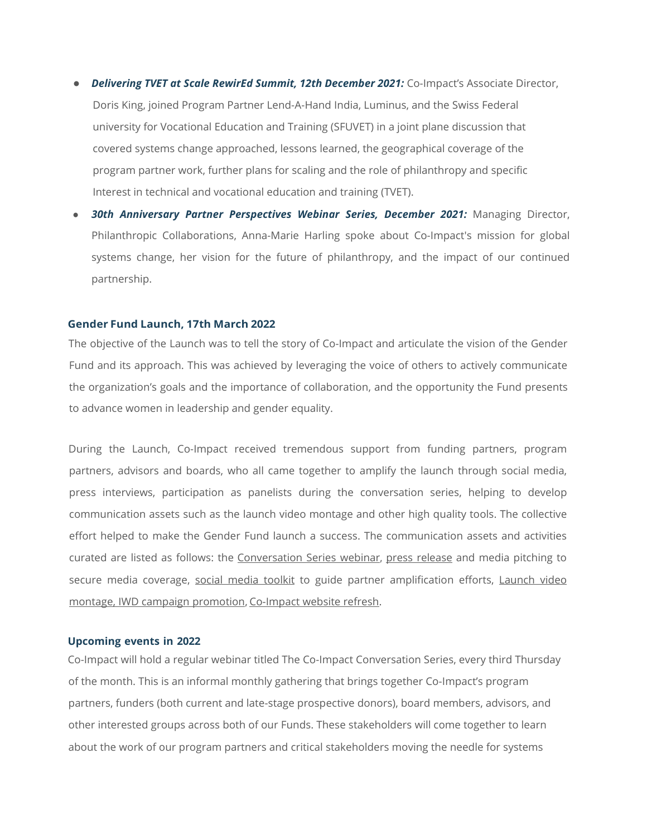- **Delivering TVET at Scale RewirEd Summit, 12th December 2021:** Co-Impact's Associate Director, Doris King, joined Program Partner Lend-A-Hand India, Luminus, and the Swiss Federal university for Vocational Education and Training [\(SFUVET\) i](https://www.sfuvet.swiss/)n a joint plane discussion that covered systems change approached, lessons learned, the geographical coverage of the program partner work, further plans for scaling and the role of philanthropy and specific Interest in technical and vocational education and training (TVET).
- 30th Anniversary Partner Perspectives Webinar Series, December 2021: Managing Director, Philanthropic Collaborations, Anna-Marie Harling spoke about Co-Impact's mission for global systems change, her vision for the future of philanthropy, and the impact of our continued partnership.

#### **Gender Fund Launch, 17th March 2022**

The objective of the Launch was to tell the story of Co-Impact and articulate the vision of the Gender Fund and its approach. This was achieved by leveraging the voice of others to actively communicate the organization's goals and the importance of collaboration, and the opportunity the Fund presents to advance women in leadership and gender equality.

During the Launch, Co-Impact received tremendous support from funding partners, program partners, advisors and boards, who all came together to amplify the launch through social media, press interviews, participation as panelists during the conversation series, helping to develop communication assets such as the launch video montage and other high quality tools. The collective effort helped to make the Gender Fund launch a success. The communication assets and activities curated are listed as follows: the [Conversation Series webinar](https://youtu.be/t28SZD0LDLk)[, press release](https://www.co-impact.org/leaders-launch-new-1bn-gender-fund-to-advance-global-equality-and-womens-leadership/) [an](https://www.co-impact.org/leaders-launch-new-1bn-gender-fund-to-advance-global-equality-and-womens-leadership/)d media pitching to secure media coverag[e, s](https://drive.google.com/drive/folders/1eCCpucLkLBmhCgS5pcTThE3G1AYjTsa6)ocial media [toolkit to](https://drive.google.com/drive/folders/1eCCpucLkLBmhCgS5pcTThE3G1AYjTsa6) guide partner amplification effort[s, Launch](https://www.youtube.com/watch?v=m3s3Wh69Gk4) video [montage,](https://www.youtube.com/watch?v=m3s3Wh69Gk4) IWD campaign [promotion](https://youtu.be/iZjjPSQWygs)[, Co-Impact](https://www.co-impact.org/gender-fund-advisory-board/) website [refresh.](https://www.co-impact.org/gender-fund-advisory-board/)

#### **Upcoming events in 2022**

Co-Impact will hold a regular webinar titled The Co-Impact Conversation Series, every third Thursday of the month. This is an informal monthly gathering that brings together Co-Impact's program partners, funders (both current and late-stage prospective donors), board members, advisors, and other interested groups across both of our Funds. These stakeholders will come together to learn about the work of our program partners and critical stakeholders moving the needle for systems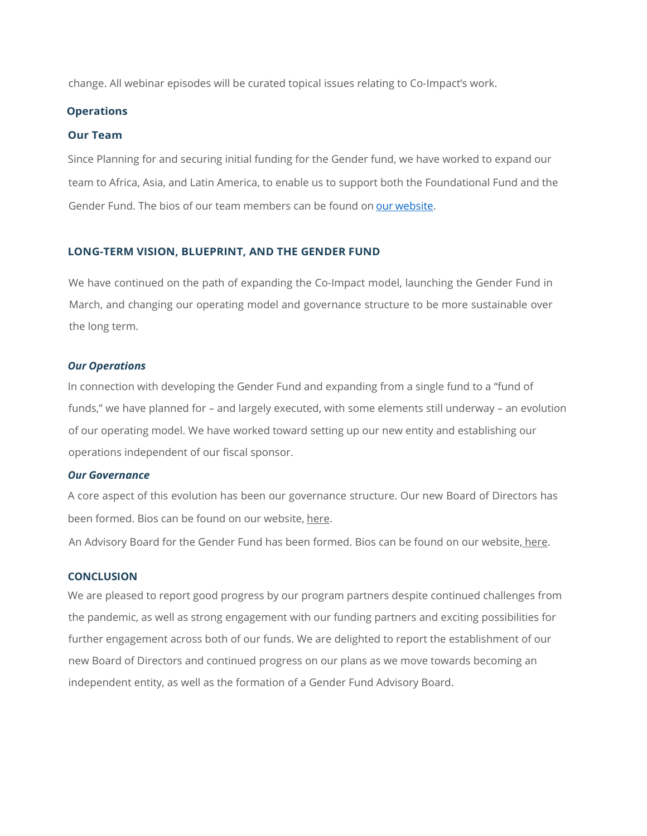change. All webinar episodes will be curated topical issues relating to Co-Impact's work.

# **Operations**

#### **Our Team**

Since Planning for and securing initial funding for the Gender fund, we have worked to expand our team to Africa, Asia, and Latin America, to enable us to support both the Foundational Fund and the Gender Fund. The bios of our team members can be found on our [website.](https://www.co-impact.org/our-team/)

#### **LONG-TERM VISION, BLUEPRINT, AND THE GENDER FUND**

We have continued on the path of expanding the Co-Impact model, launching the Gender Fund in March, and changing our operating model and governance structure to be more sustainable over the long term.

#### *Our Operations*

In connection with developing the Gender Fund and expanding from a single fund to a "fund of funds," we have planned for – and largely executed, with some elements still underway – an evolution of our operating model. We have worked toward setting up our new entity and establishing our operations independent of our fiscal sponsor.

#### *Our Governance*

A core aspect of this evolution has been our governance structure. Our new Board of Directors has been formed. Bios can be found on our website, [here.](https://www.co-impact.org/our-governance/)

An Advisory Board for the Gender Fund has been formed. Bios can be found on our website, [here.](https://www.co-impact.org/gender-fund-advisory-board/)

#### **CONCLUSION**

We are pleased to report good progress by our program partners despite continued challenges from the pandemic, as well as strong engagement with our funding partners and exciting possibilities for further engagement across both of our funds. We are delighted to report the establishment of our new Board of Directors and continued progress on our plans as we move towards becoming an independent entity, as well as the formation of a Gender Fund Advisory Board.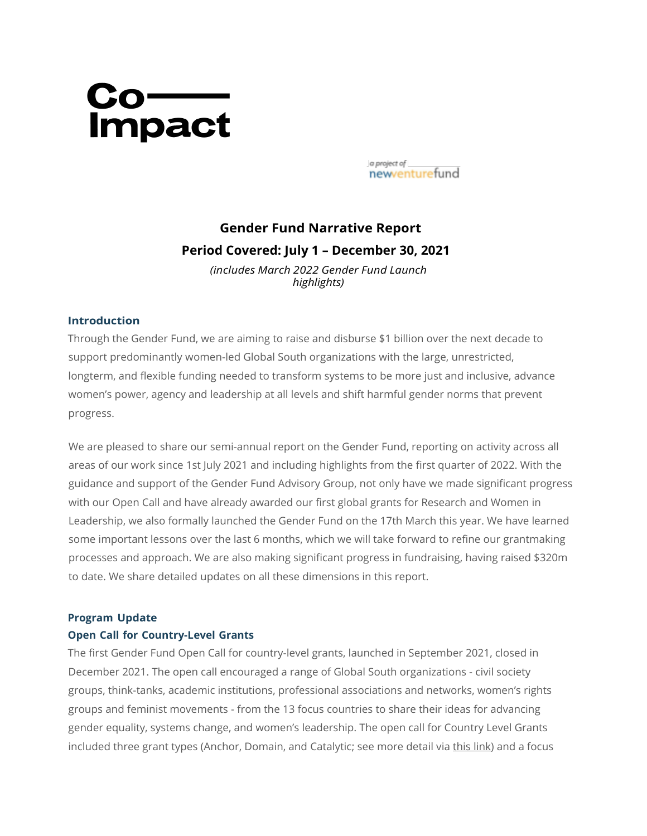# Co<br>Impact

a project of newventurefund

# **Gender Fund Narrative Report Period Covered: July 1 – December 30, 2021**

*(includes March 2022 Gender Fund Launch highlights)*

## **Introduction**

Through the Gender Fund, we are aiming to raise and disburse \$1 billion over the next decade to support predominantly women-led Global South organizations with the large, unrestricted, longterm, and flexible funding needed to transform systems to be more just and inclusive, advance women's power, agency and leadership at all levels and shift harmful gender norms that prevent progress.

We are pleased to share our semi-annual report on the Gender Fund, reporting on activity across all areas of our work since 1st July 2021 and including highlights from the first quarter of 2022. With the guidance and support of the Gender Fund Advisory Group, not only have we made significant progress with our Open Call and have already awarded our first global grants for Research and Women in Leadership, we also formally launched the Gender Fund on the 17th March this year. We have learned some important lessons over the last 6 months, which we will take forward to refine our grantmaking processes and approach. We are also making significant progress in fundraising, having raised \$320m to date. We share detailed updates on all these dimensions in this report.

#### **Program Update**

# **Open Call for Country-Level Grants**

The first Gender Fund Open Call for country-level grants, launched in September 2021, closed in December 2021. The open call encouraged a range of Global South organizations - civil society groups, think-tanks, academic institutions, professional associations and networks, women's rights groups and feminist movements - from the 13 focus countries to share their ideas for advancing gender equality, systems change, and women's leadership. The open call for Country Level Grants included three grant types (Anchor, Domain, and Catalytic; see more detail vi[a this link\) a](https://www.co-impact.org/gender-fund-how-to-apply/)nd a focus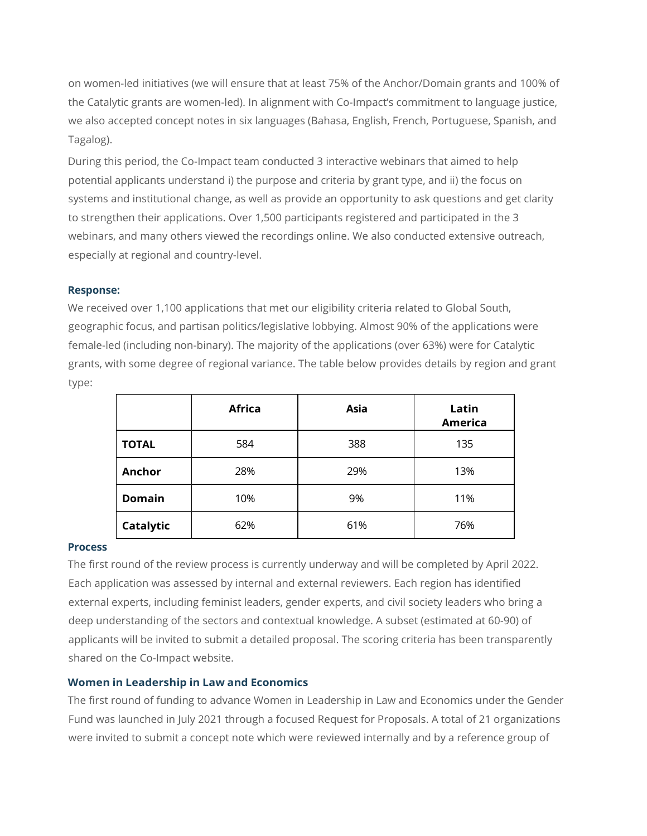on women-led initiatives (we will ensure that at least 75% of the Anchor/Domain grants and 100% of the Catalytic grants are women-led). In alignment with Co-Impact's commitment to language justice, we also accepted concept notes in six languages (Bahasa, English, French, Portuguese, Spanish, and Tagalog).

During this period, the Co-Impact team conducted 3 interactive webinars that aimed to help potential applicants understand i) the purpose and criteria by grant type, and ii) the focus on systems and institutional change, as well as provide an opportunity to ask questions and get clarity to strengthen their applications. Over 1,500 participants registered and participated in the 3 webinars, and many others viewed the recordings online. We also conducted extensive outreach, especially at regional and country-level.

#### **Response:**

We received over 1,100 applications that met our eligibility criteria related to Global South, geographic focus, and partisan politics/legislative lobbying. Almost 90% of the applications were female-led (including non-binary). The majority of the applications (over 63%) were for Catalytic grants, with some degree of regional variance. The table below provides details by region and grant type:

|               | <b>Africa</b> | Asia | Latin<br><b>America</b> |
|---------------|---------------|------|-------------------------|
| <b>TOTAL</b>  | 584           | 388  | 135                     |
| Anchor        | 28%           | 29%  | 13%                     |
| <b>Domain</b> | 10%           | 9%   | 11%                     |
| Catalytic     | 62%           | 61%  | 76%                     |

#### **Process**

The first round of the review process is currently underway and will be completed by April 2022. Each application was assessed by internal and external reviewers. Each region has identified external experts, including feminist leaders, gender experts, and civil society leaders who bring a deep understanding of the sectors and contextual knowledge. A subset (estimated at 60-90) of applicants will be invited to submit a detailed proposal. The scoring criteria has been transparently shared on the Co-Impact website.

# **Women in Leadership in Law and Economics**

The first round of funding to advance Women in Leadership in Law and Economics under the Gender Fund was launched in July 2021 through a focused Request for Proposals. A total of 21 organizations were invited to submit a concept note which were reviewed internally and by a reference group of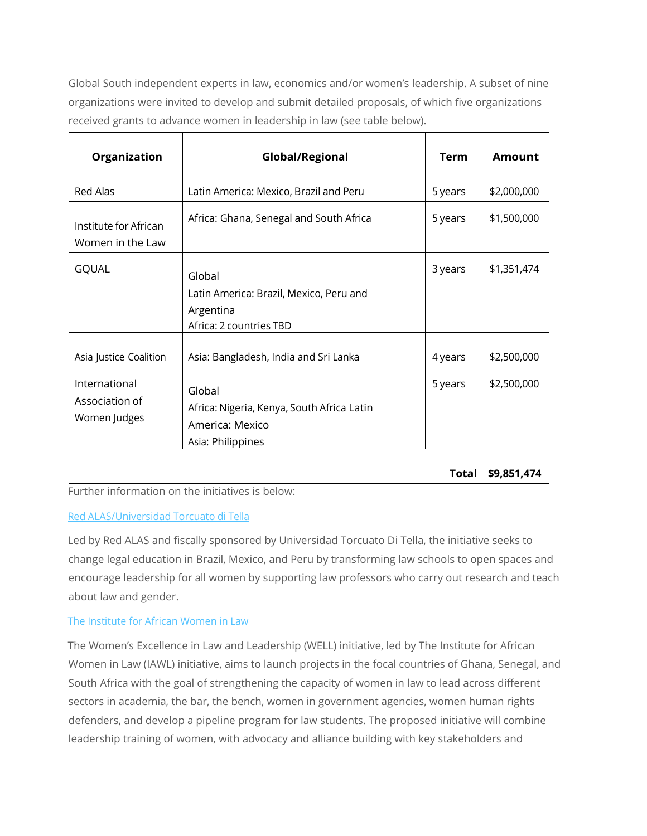Global South independent experts in law, economics and/or women's leadership. A subset of nine organizations were invited to develop and submit detailed proposals, of which five organizations received grants to advance women in leadership in law (see table below).

| Organization                                    | <b>Global/Regional</b>                                                                       | <b>Term</b> | Amount      |
|-------------------------------------------------|----------------------------------------------------------------------------------------------|-------------|-------------|
| <b>Red Alas</b>                                 | Latin America: Mexico, Brazil and Peru                                                       | 5 years     | \$2,000,000 |
| Institute for African<br>Women in the Law       | Africa: Ghana, Senegal and South Africa                                                      | 5 years     | \$1,500,000 |
| <b>GQUAL</b>                                    | Global<br>Latin America: Brazil, Mexico, Peru and<br>Argentina<br>Africa: 2 countries TBD    | 3 years     | \$1,351,474 |
| Asia Justice Coalition                          | Asia: Bangladesh, India and Sri Lanka                                                        | 4 years     | \$2,500,000 |
| International<br>Association of<br>Women Judges | Global<br>Africa: Nigeria, Kenya, South Africa Latin<br>America: Mexico<br>Asia: Philippines | 5 years     | \$2,500,000 |
| Total                                           |                                                                                              |             |             |

Further information on the initiatives is below:

# Red [ALAS/Universidad](http://www.red-alas.net/) Torcuato di T[ella](http://www.red-alas.net/)

Led by Red ALAS and fiscally sponsored by Universidad Torcuato Di Tella, the initiative seeks to change legal education in Brazil, Mexico, and Peru by transforming law schools to open spaces and encourage leadership for all women by supporting law professors who carry out research and teach about law and gender.

# The [Institute](https://www.africanwomeninlaw.com/) for African Women in Law

The Women's Excellence in Law and Leadership (WELL) initiative, led by The Institute for African Women in Law (IAWL) initiative, aims to launch projects in the focal countries of Ghana, Senegal, and South Africa with the goal of strengthening the capacity of women in law to lead across different sectors in academia, the bar, the bench, women in government agencies, women human rights defenders, and develop a pipeline program for law students. The proposed initiative will combine leadership training of women, with advocacy and alliance building with key stakeholders and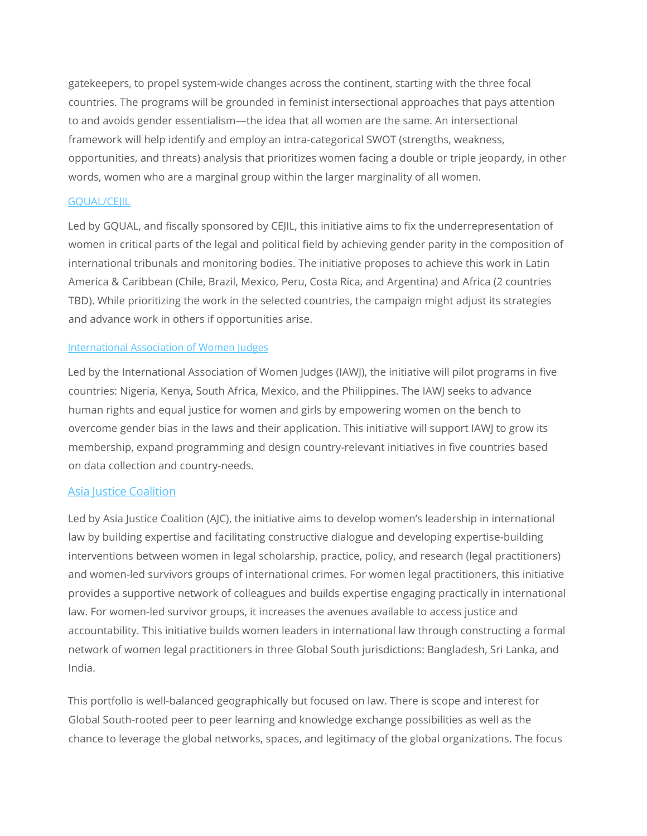gatekeepers, to propel system-wide changes across the continent, starting with the three focal countries. The programs will be grounded in feminist intersectional approaches that pays attention to and avoids gender essentialism—the idea that all women are the same. An intersectional framework will help identify and employ an intra-categorical SWOT (strengths, weakness, opportunities, and threats) analysis that prioritizes women facing a double or triple jeopardy, in other words, women who are a marginal group within the larger marginality of all women.

## [GQUAL/CEJIL](http://www.gqualcampaign.org/home/)

Led by GQUAL, and fiscally sponsored by CEJIL, this initiative aims to fix the underrepresentation of women in critical parts of the legal and political field by achieving gender parity in the composition of international tribunals and monitoring bodies. The initiative proposes to achieve this work in Latin America & Caribbean (Chile, Brazil, Mexico, Peru, Costa Rica, and Argentina) and Africa (2 countries TBD). While prioritizing the work in the selected countries, the campaign might adjust its strategies and advance work in others if opportunities arise.

# [International Association of Women Judges](https://www.iawj.org/)

Led by the International Association of Women Judges (IAWJ), the initiative will pilot programs in five countries: Nigeria, Kenya, South Africa, Mexico, and the Philippines. The IAWJ seeks to advance human rights and equal justice for women and girls by empowering women on the bench to overcome gender bias in the laws and their application. This initiative will support IAWJ to grow its membership, expand programming and design country-relevant initiatives in five countries based on data collection and country-needs.

# Asia Justice [Coalition](https://www.asiajusticecoalition.org/)

Led by Asia Justice Coalition (AJC), the initiative aims to develop women's leadership in international law by building expertise and facilitating constructive dialogue and developing expertise-building interventions between women in legal scholarship, practice, policy, and research (legal practitioners) and women-led survivors groups of international crimes. For women legal practitioners, this initiative provides a supportive network of colleagues and builds expertise engaging practically in international law. For women-led survivor groups, it increases the avenues available to access justice and accountability. This initiative builds women leaders in international law through constructing a formal network of women legal practitioners in three Global South jurisdictions: Bangladesh, Sri Lanka, and India.

This portfolio is well-balanced geographically but focused on law. There is scope and interest for Global South-rooted peer to peer learning and knowledge exchange possibilities as well as the chance to leverage the global networks, spaces, and legitimacy of the global organizations. The focus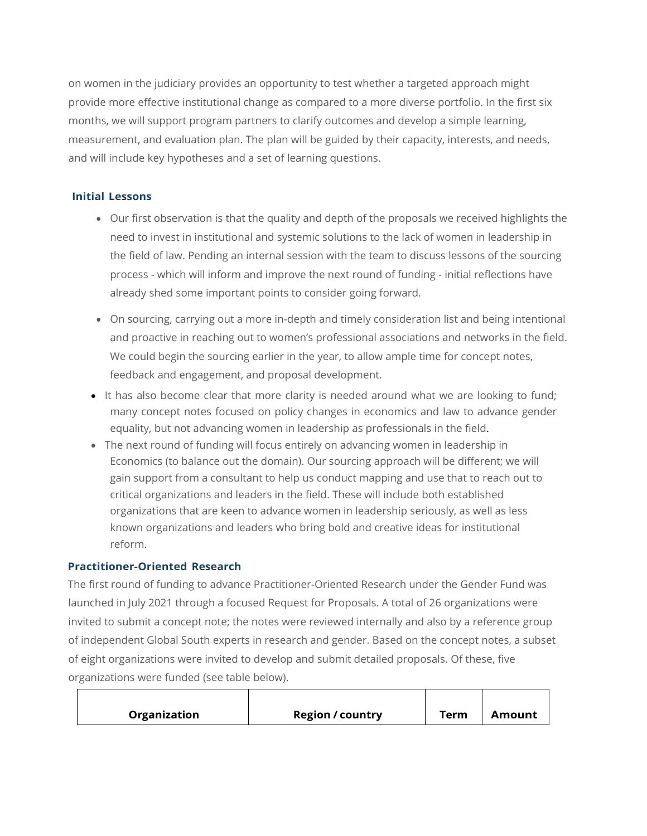on women in the judiciary provides an opportunity to test whether a targeted approach might provide more effective institutional change as compared to a more diverse portfolio. In the first six months, we will support program partners to clarify outcomes and develop a simple learning, measurement, and evaluation plan. The plan will be guided by their capacity, interests, and needs, and will include key hypotheses and a set of learning questions.

# **Initial Lessons**

- Our first observation is that the quality and depth of the proposals we received highlights the need to invest in institutional and systemic solutions to the lack of women in leadership in the field of law. Pending an internal session with the team to discuss lessons of the sourcing process - which will inform and improve the next round of funding - initial reflections have already shed some important points to consider going forward.
- On sourcing, carrying out a more in-depth and timely consideration list and being intentional and proactive in reaching out to women's professional associations and networks in the field. We could begin the sourcing earlier in the year, to allow ample time for concept notes, feedback and engagement, and proposal development.
- It has also become clear that more clarity is needed around what we are looking to fund; many concept notes focused on policy changes in economics and law to advance gender equality, but not advancing women in leadership as professionals in the field.
- The next round of funding will focus entirely on advancing women in leadership in Economics (to balance out the domain). Our sourcing approach will be different; we will gain support from a consultant to help us conduct mapping and use that to reach out to critical organizations and leaders in the field. These will include both established organizations that are keen to advance women in leadership seriously, as well as less known organizations and leaders who bring bold and creative ideas for institutional reform.

# **Practitioner-Oriented Research**

The first round of funding to advance Practitioner-Oriented Research under the Gender Fund was launched in July 2021 through a focused Request for Proposals. A total of 26 organizations were invited to submit a concept note; the notes were reviewed internally and also by a reference group of independent Global South experts in research and gender. Based on the concept notes, a subset of eight organizations were invited to develop and submit detailed proposals. Of these, five organizations were funded (see table below).

| Organization<br><b>Region / country</b><br>Term<br>Amount |
|-----------------------------------------------------------|
|-----------------------------------------------------------|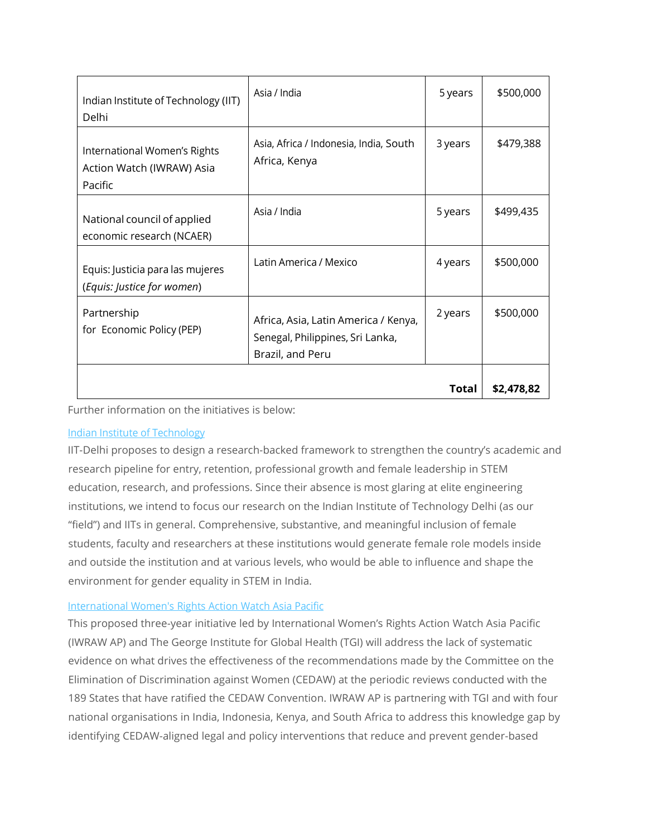|                                                                      |                                                                                              | Total   | \$2,478,82 |
|----------------------------------------------------------------------|----------------------------------------------------------------------------------------------|---------|------------|
| Partnership<br>for Economic Policy (PEP)                             | Africa, Asia, Latin America / Kenya,<br>Senegal, Philippines, Sri Lanka,<br>Brazil, and Peru | 2 years | \$500,000  |
| Equis: Justicia para las mujeres<br>(Equis: Justice for women)       | Latin America / Mexico                                                                       | 4 years | \$500,000  |
| National council of applied<br>economic research (NCAER)             | Asia / India                                                                                 | 5 years | \$499,435  |
| International Women's Rights<br>Action Watch (IWRAW) Asia<br>Pacific | Asia, Africa / Indonesia, India, South<br>Africa, Kenya                                      | 3 years | \$479,388  |
| Indian Institute of Technology (IIT)<br>Delhi                        | Asia / India                                                                                 | 5 years | \$500,000  |

Further information on the initiatives is below:

# Indian Institute of [Technology](https://home.iitd.ac.in/)

IIT-Delhi proposes to design a research-backed framework to strengthen the country's academic and research pipeline for entry, retention, professional growth and female leadership in STEM education, research, and professions. Since their absence is most glaring at elite engineering institutions, we intend to focus our research on the Indian Institute of Technology Delhi (as our "field") and IITs in general. Comprehensive, substantive, and meaningful inclusion of female students, faculty and researchers at these institutions would generate female role models inside and outside the institution and at various levels, who would be able to influence and shape the environment for gender equality in STEM in India.

# [International](https://www.iwraw-ap.org/) Women's Rights Action Watch Asia Pacific

This proposed three-year initiative led by International Women's Rights Action Watch Asia Pacific (IWRAW AP) and The George Institute for Global Health (TGI) will address the lack of systematic evidence on what drives the effectiveness of the recommendations made by the Committee on the Elimination of Discrimination against Women (CEDAW) at the periodic reviews conducted with the 189 States that have ratified the CEDAW Convention. IWRAW AP is partnering with TGI and with four national organisations in India, Indonesia, Kenya, and South Africa to address this knowledge gap by identifying CEDAW-aligned legal and policy interventions that reduce and prevent gender-based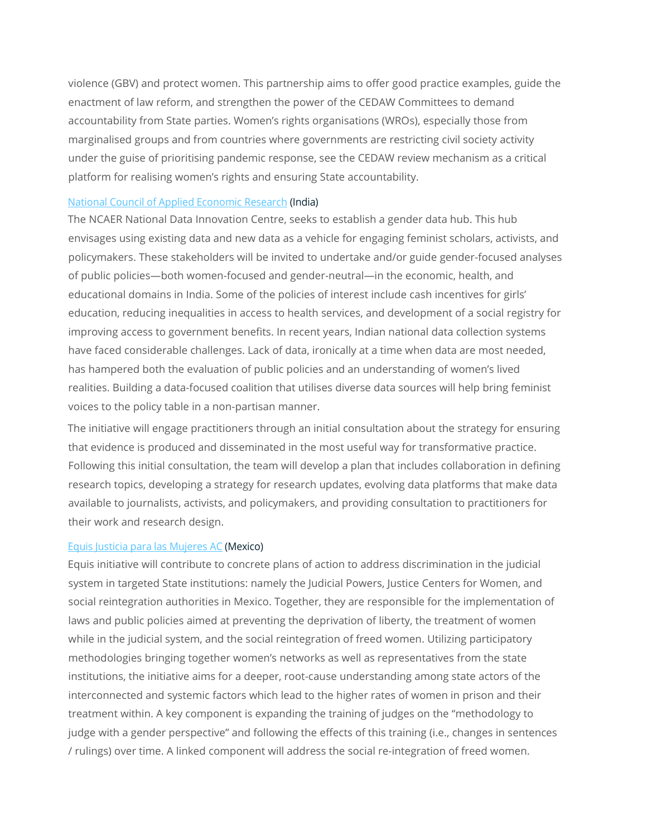violence (GBV) and protect women. This partnership aims to offer good practice examples, guide the enactment of law reform, and strengthen the power of the CEDAW Committees to demand accountability from State parties. Women's rights organisations (WROs), especially those from marginalised groups and from countries where governments are restricting civil society activity under the guise of prioritising pandemic response, see the CEDAW review mechanism as a critical platform for realising women's rights and ensuring State accountability.

#### National Council of Applied [Economic](https://www.ncaer.org/) Research [\(In](https://www.ncaer.org/)dia)

The NCAER National Data Innovation Centre, seeks to establish a gender data hub. This hub envisages using existing data and new data as a vehicle for engaging feminist scholars, activists, and policymakers. These stakeholders will be invited to undertake and/or guide gender-focused analyses of public policies—both women-focused and gender-neutral—in the economic, health, and educational domains in India. Some of the policies of interest include cash incentives for girls' education, reducing inequalities in access to health services, and development of a social registry for improving access to government benefits. In recent years, Indian national data collection systems have faced considerable challenges. Lack of data, ironically at a time when data are most needed, has hampered both the evaluation of public policies and an understanding of women's lived realities. Building a data-focused coalition that utilises diverse data sources will help bring feminist voices to the policy table in a non-partisan manner.

The initiative will engage practitioners through an initial consultation about the strategy for ensuring that evidence is produced and disseminated in the most useful way for transformative practice. Following this initial consultation, the team will develop a plan that includes collaboration in defining research topics, developing a strategy for research updates, evolving data platforms that make data available to journalists, activists, and policymakers, and providing consultation to practitioners for their work and research design.

#### Equis Justicia para las [Mujeres](https://equis.org.mx/) AC (Mexico)

Equis initiative will contribute to concrete plans of action to address discrimination in the judicial system in targeted State institutions: namely the Judicial Powers, Justice Centers for Women, and social reintegration authorities in Mexico. Together, they are responsible for the implementation of laws and public policies aimed at preventing the deprivation of liberty, the treatment of women while in the judicial system, and the social reintegration of freed women. Utilizing participatory methodologies bringing together women's networks as well as representatives from the state institutions, the initiative aims for a deeper, root-cause understanding among state actors of the interconnected and systemic factors which lead to the higher rates of women in prison and their treatment within. A key component is expanding the training of judges on the "methodology to judge with a gender perspective" and following the effects of this training (i.e., changes in sentences / rulings) over time. A linked component will address the social re-integration of freed women.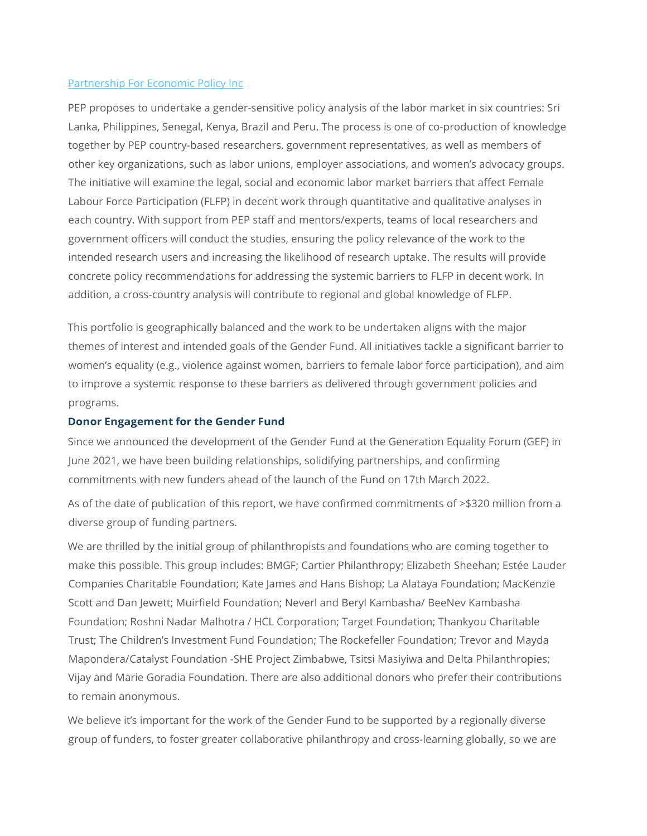#### [Partnership For Economic Policy Inc](https://www.pep-net.org/)

PEP proposes to undertake a gender-sensitive policy analysis of the labor market in six countries: Sri Lanka, Philippines, Senegal, Kenya, Brazil and Peru. The process is one of co-production of knowledge together by PEP country-based researchers, government representatives, as well as members of other key organizations, such as labor unions, employer associations, and women's advocacy groups. The initiative will examine the legal, social and economic labor market barriers that affect Female Labour Force Participation (FLFP) in decent work through quantitative and qualitative analyses in each country. With support from PEP staff and mentors/experts, teams of local researchers and government officers will conduct the studies, ensuring the policy relevance of the work to the intended research users and increasing the likelihood of research uptake. The results will provide concrete policy recommendations for addressing the systemic barriers to FLFP in decent work. In addition, a cross-country analysis will contribute to regional and global knowledge of FLFP.

This portfolio is geographically balanced and the work to be undertaken aligns with the major themes of interest and intended goals of the Gender Fund. All initiatives tackle a significant barrier to women's equality (e.g., violence against women, barriers to female labor force participation), and aim to improve a systemic response to these barriers as delivered through government policies and programs.

## **Donor Engagement for the Gender Fund**

Since we announced the development of the Gender Fund at the Generation Equality Forum (GEF) in June 2021, we have been building relationships, solidifying partnerships, and confirming commitments with new funders ahead of the launch of the Fund on 17th March 2022.

As of the date of publication of this report, we have confirmed commitments of >\$320 million from a diverse group of funding partners.

We are thrilled by the initial group of philanthropists and foundations who are coming together to make this possible. This group includes: BMGF; Cartier Philanthropy; Elizabeth Sheehan; Estée Lauder Companies Charitable Foundation; Kate James and Hans Bishop; La Alataya Foundation; MacKenzie Scott and Dan Jewett; Muirfield Foundation; Neverl and Beryl Kambasha/ BeeNev Kambasha Foundation; Roshni Nadar Malhotra / HCL Corporation; Target Foundation; Thankyou Charitable Trust; The Children's Investment Fund Foundation; The Rockefeller Foundation; Trevor and Mayda Mapondera/Catalyst Foundation -SHE Project Zimbabwe, Tsitsi Masiyiwa and Delta Philanthropies; Vijay and Marie Goradia Foundation. There are also additional donors who prefer their contributions to remain anonymous.

We believe it's important for the work of the Gender Fund to be supported by a regionally diverse group of funders, to foster greater collaborative philanthropy and cross-learning globally, so we are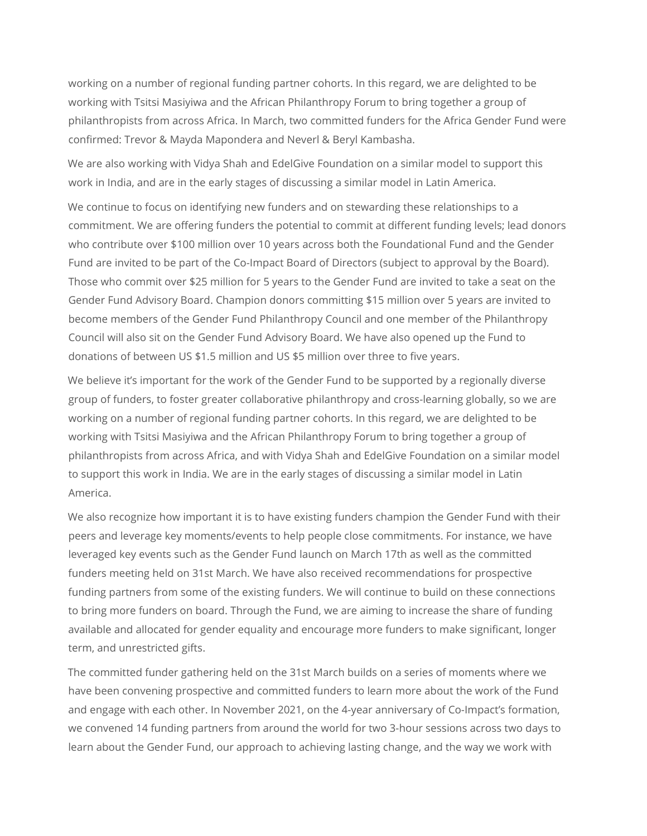working on a number of regional funding partner cohorts. In this regard, we are delighted to be working with Tsitsi Masiyiwa and the African Philanthropy Forum to bring together a group of philanthropists from across Africa. In March, two committed funders for the Africa Gender Fund were confirmed: Trevor & Mayda Mapondera and Neverl & Beryl Kambasha.

We are also working with Vidya Shah and EdelGive Foundation on a similar model to support this work in India, and are in the early stages of discussing a similar model in Latin America.

We continue to focus on identifying new funders and on stewarding these relationships to a commitment. We are offering funders the potential to commit at different funding levels; lead donors who contribute over \$100 million over 10 years across both the Foundational Fund and the Gender Fund are invited to be part of the Co-Impact Board of Directors (subject to approval by the Board). Those who commit over \$25 million for 5 years to the Gender Fund are invited to take a seat on the Gender Fund Advisory Board. Champion donors committing \$15 million over 5 years are invited to become members of the Gender Fund Philanthropy Council and one member of the Philanthropy Council will also sit on the Gender Fund Advisory Board. We have also opened up the Fund to donations of between US \$1.5 million and US \$5 million over three to five years.

We believe it's important for the work of the Gender Fund to be supported by a regionally diverse group of funders, to foster greater collaborative philanthropy and cross-learning globally, so we are working on a number of regional funding partner cohorts. In this regard, we are delighted to be working with Tsitsi Masiyiwa and the African Philanthropy Forum to bring together a group of philanthropists from across Africa, and with Vidya Shah and EdelGive Foundation on a similar model to support this work in India. We are in the early stages of discussing a similar model in Latin America.

We also recognize how important it is to have existing funders champion the Gender Fund with their peers and leverage key moments/events to help people close commitments. For instance, we have leveraged key events such as the Gender Fund launch on March 17th as well as the committed funders meeting held on 31st March. We have also received recommendations for prospective funding partners from some of the existing funders. We will continue to build on these connections to bring more funders on board. Through the Fund, we are aiming to increase the share of funding available and allocated for gender equality and encourage more funders to make significant, longer term, and unrestricted gifts.

The committed funder gathering held on the 31st March builds on a series of moments where we have been convening prospective and committed funders to learn more about the work of the Fund and engage with each other. In November 2021, on the 4-year anniversary of Co-Impact's formation, we convened 14 funding partners from around the world for two 3-hour sessions across two days to learn about the Gender Fund, our approach to achieving lasting change, and the way we work with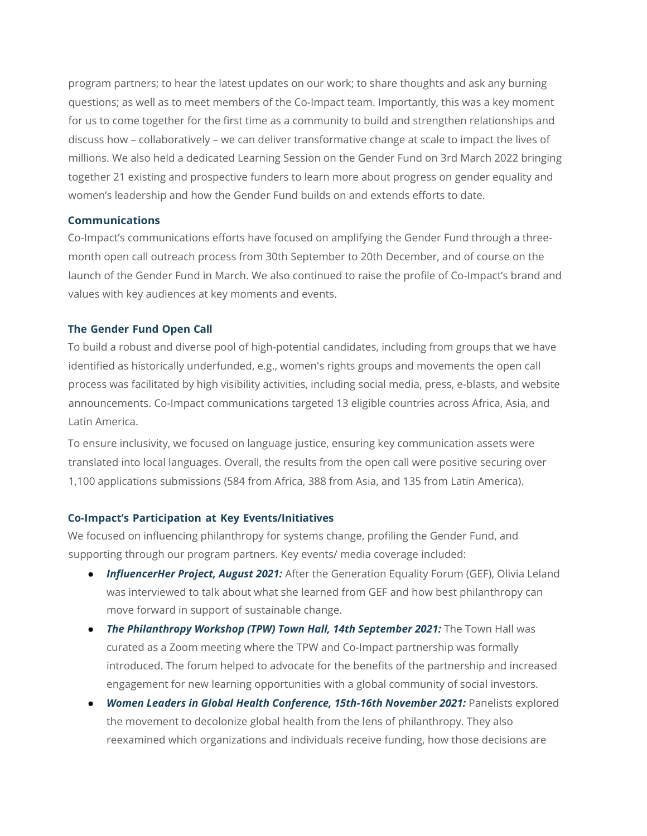program partners; to hear the latest updates on our work; to share thoughts and ask any burning questions; as well as to meet members of the Co-Impact team. Importantly, this was a key moment for us to come together for the first time as a community to build and strengthen relationships and discuss how – collaboratively – we can deliver transformative change at scale to impact the lives of millions. We also held a dedicated Learning Session on the Gender Fund on 3rd March 2022 bringing together 21 existing and prospective funders to learn more about progress on gender equality and women's leadership and how the Gender Fund builds on and extends efforts to date.

#### **Communications**

Co-Impact's communications efforts have focused on amplifying the Gender Fund through a threemonth open call outreach process from 30th September to 20th December, and of course on the launch of the Gender Fund in March. We also continued to raise the profile of Co-Impact's brand and values with key audiences at key moments and events.

#### **The Gender Fund Open Call**

To build a robust and diverse pool of high-potential candidates, including from groups that we have identified as historically underfunded, e.g., women's rights groups and movements the open call process was facilitated by high visibility activities, including social media, press, e-blasts, and website announcements. Co-Impact communications targeted 13 eligible countries across Africa, Asia, and Latin America.

To ensure inclusivity, we focused on language justice, ensuring key communication assets were translated into local languages. Overall, the results from the open call were positive securing over 1,100 applications submissions (584 from Africa, 388 from Asia, and 135 from Latin America).

#### **Co-Impact's Participation at Key Events/Initiatives**

We focused on influencing philanthropy for systems change, profiling the Gender Fund, and supporting through our program partners. Key events/ media coverage included:

- *InfluencerHer Project, August 2021:* After the Generation Equality Forum (GEF), Olivia Leland was [interviewed](https://gem.godaddy.com/p/a8d9a21?pact=275-164156011-6b368b0a-ad75-11ea-a2ce-2b44902ff514-92136963ca1f62c556cfa40f6e29f674e63c6fbd) to talk about what she learned from GEF and how best philanthropy can move forward in support of sustainable change.
- *The Philanthropy Workshop (TPW) Town Hall, 14th September 2021:* The Town Hall was curated as a Zoom meeting where the TPW and Co-Impact partnership was formally introduced. The forum helped to advocate for the benefits of the partnership and increased engagement for new learning opportunities with a global community of social investors.
- *Women Leaders in Global Health Conference, 15th-16th November 2021:* Panelists explored the movement to decolonize global health from the lens of philanthropy. They also reexamined which organizations and individuals receive funding, how those decisions are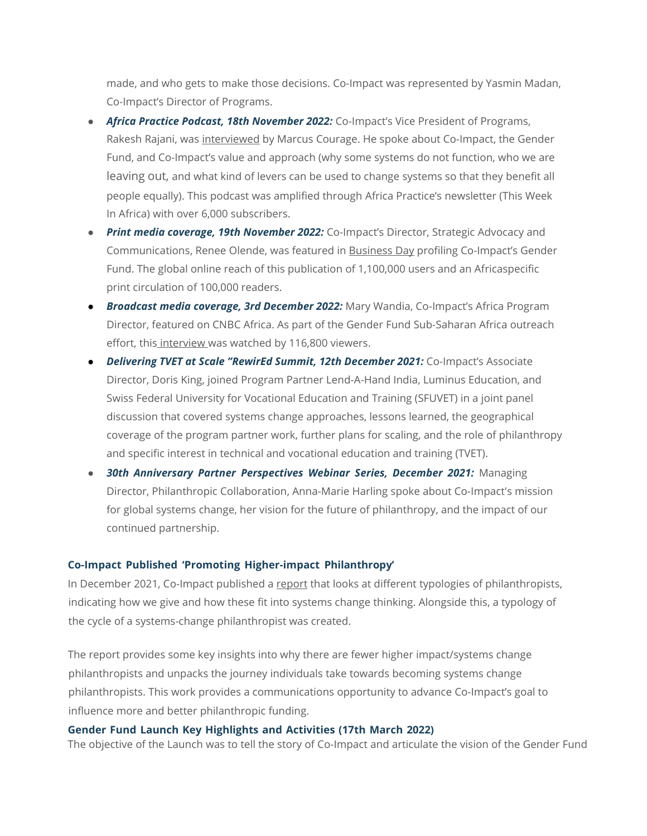made, and who gets to make those decisions. Co-Impact was represented by Yasmin Madan, Co-Impact's Director of Programs.

- **Africa Practice Podcast, 18th November 2022:** Co-Impact's Vice President of Programs, Rakesh Rajani, was [interviewed](https://soundcloud.com/africapractice-756217837/rakesh-rajani-co-impact-the-gender-fund) by Marcus Courage. He spoke about Co-Impact, the Gender Fund, and Co-Impact's value and approach (why some systems do not function, who we are leaving out, and what kind of levers can be used to change systems so that they benefit all people equally). This podcast was amplified through Africa Practice's newsletter (This Week In Africa) with over 6,000 subscribers.
- *Print media coverage, 19th November 2022:* Co-Impact's Director, Strategic Advocacy and Communications, Renee Olende, was featured in [Business Day](https://businessday.ng/interview/article/poverty-harmful-practices-hindering-gender-equality-in-developing-countries-olende/) profiling Co-Impact's Gender Fund. The global online reach of this publication of 1,100,000 users and an Africaspecific print circulation of 100,000 readers.
- *Broadcast media coverage, 3rd December 2022:* Mary Wandia, Co-Impact's Africa Program Director, featured on CNBC Africa. As part of the Gender Fund Sub-Saharan Africa outreach effort, this [interview](https://www.cnbcafrica.com/media/6285018556001/) was watched by 116,800 viewers.
- **Delivering TVET at Scale "RewirEd Summit, 12th December 2021:** Co-Impact's Associate Director, Doris King, joined Program Partner Lend-A-Hand India, Luminus Education, and Swiss Federal University for Vocational Education and Training (SFUVET) in a joint panel discussion that covered systems change approaches, lessons learned, the geographical coverage of the program partner work, further plans for scaling, and the role of philanthropy and specific interest in technical and vocational education and training (TVET).
- *30th Anniversary Partner Perspectives Webinar Series, December 2021:* Managing Director, Philanthropic Collaboration, Anna-Marie Harling spoke about Co-Impact's mission for global systems change, her vision for the future of philanthropy, and the impact of our continued partnership.

#### **Co-Impact Published 'Promoting Higher-impact Philanthropy'**

In December 2021, Co-Impact published a [report](https://www.co-impact.org/wp-content/uploads/2021/12/Co-Impact-Promoting-Higher-Impact-Philanthropy-Nov-2021.pdf) that looks at different typologies of philanthropists, indicating how we give and how these fit into systems change thinking. Alongside this, a typology of the cycle of a systems-change philanthropist was created.

The report provides some key insights into why there are fewer higher impact/systems change philanthropists and unpacks the journey individuals take towards becoming systems change philanthropists. This work provides a communications opportunity to advance Co-Impact's goal to influence more and better philanthropic funding.

#### **Gender Fund Launch Key Highlights and Activities (17th March 2022)**

The objective of the Launch was to tell the story of Co-Impact and articulate the vision of the Gender Fund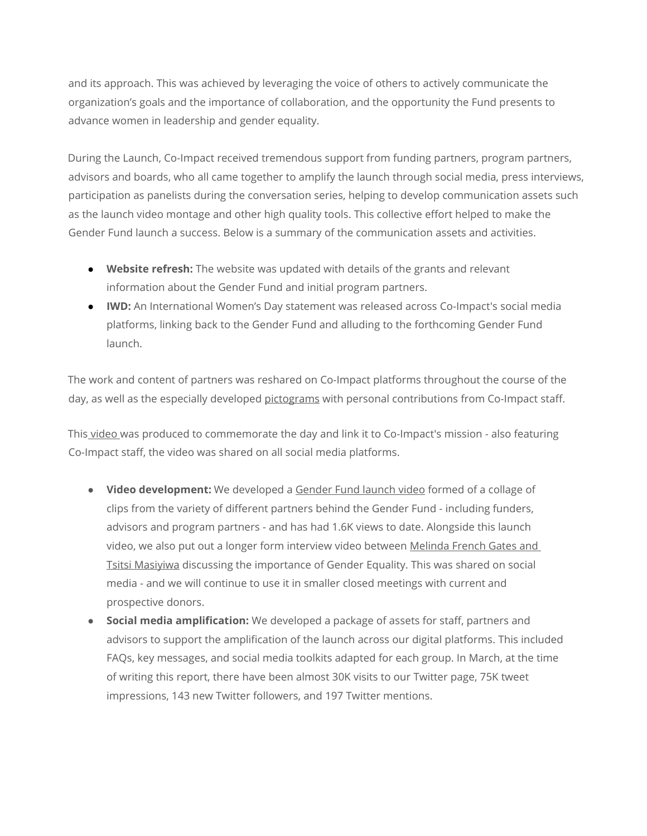and its approach. This was achieved by leveraging the voice of others to actively communicate the organization's goals and the importance of collaboration, and the opportunity the Fund presents to advance women in leadership and gender equality.

During the Launch, Co-Impact received tremendous support from funding partners, program partners, advisors and boards, who all came together to amplify the launch through social media, press interviews, participation as panelists during the conversation series, helping to develop communication assets such as the launch video montage and other high quality tools. This collective effort helped to make the Gender Fund launch a success. Below is a summary of the communication assets and activities.

- **Website refresh:** The website was updated with details of the grants and relevant information about the Gender Fund and initial program partners.
- **IWD:** An International Women's Day statement was released across Co-Impact's social media platforms, linking back to the Gender Fund and alluding to the forthcoming Gender Fund launch.

The work and content of partners was reshared on Co-Impact platforms throughout the course of the day, as well as the especially developed [pictograms](https://youtu.be/iZjjPSQWygs) with personal contributions from Co-Impact staff.

This [video](https://www.youtube.com/watch?v=iZjjPSQWygs) was produced to commemorate the day and link it to Co-Impact's mission - also featuring Co-Impact staff, the video was shared on all social media platforms.

- **Video development:** We developed a [Gender](https://youtu.be/m3s3Wh69Gk4) Fund launch video formed of a collage of clips from the variety of different partners behind the Gender Fund - including funders, advisors and program partners - and has had 1.6K views to date. Alongside this launch video, we also put out a longer form interview video between [Melinda French Gates and](https://www.youtube.com/watch?v=3SclLNp9IqQ) [Tsitsi Masiyiwa](https://www.youtube.com/watch?v=3SclLNp9IqQ) discussing the importance of Gender Equality. This was shared on social media - and we will continue to use it in smaller closed meetings with current and prospective donors.
- **Social media amplification:** We developed a package of assets for staff, partners and advisors to support the amplification of the launch across our digital platforms. This included FAQs, key messages, and social media toolkits adapted for each group. In March, at the time of writing this report, there have been almost 30K visits to our Twitter page, 75K tweet impressions, 143 new Twitter followers, and 197 Twitter mentions.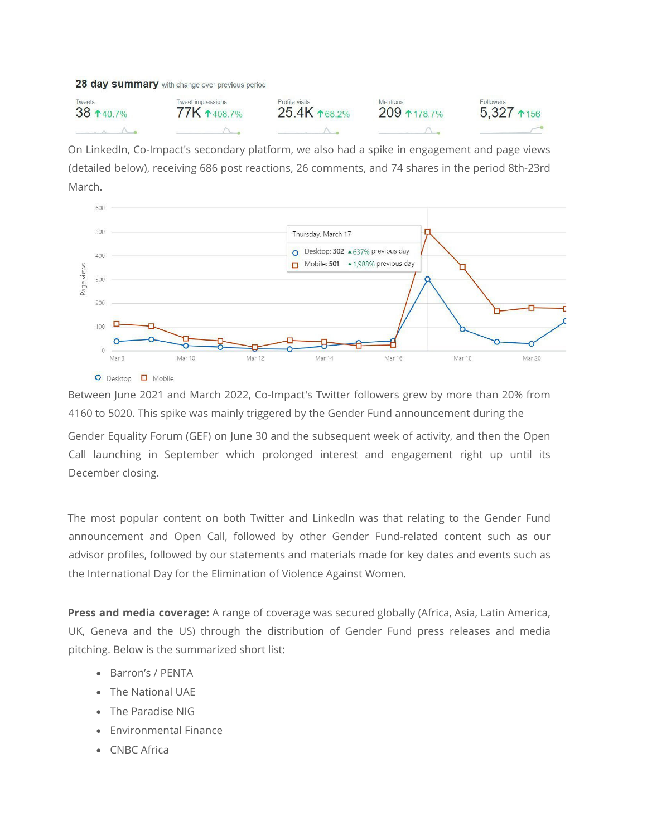28 day summary with change over previous period Tweets Tweet impressions Profile visits Mentions Followers 38 140.7% 25.4K 168.2% 209 1178.7%  $5.327 + 156$ 77K 1408.7%  $\wedge$ .  $\Lambda$ .

On LinkedIn, Co-Impact's secondary platform, we also had a spike in engagement and page views (detailed below), receiving 686 post reactions, 26 comments, and 74 shares in the period 8th-23rd March.



Between June 2021 and March 2022, Co-Impact's Twitter followers grew by more than 20% from 4160 to 5020. This spike was mainly triggered by the Gender Fund announcement during the

Gender Equality Forum (GEF) on June 30 and the subsequent week of activity, and then the Open Call launching in September which prolonged interest and engagement right up until its December closing.

The most popular content on both Twitter and LinkedIn was that relating to the Gender Fund announcement and Open Call, followed by other Gender Fund-related content such as our advisor profiles, followed by our statements and materials made for key dates and events such as the International Day for the Elimination of Violence Against Women.

**Press and media coverage:** A range of coverage was secured globally (Africa, Asia, Latin America, UK, Geneva and the US) through the distribution of Gender Fund press releases and media pitching. Below is the summarized short list:

- [Barron's / PENTA](https://www.barrons.com/articles/gender-equity-fund-aims-to-raise-and-grant-1-billion-over-10-years-01647638181)
- The [National](https://www.thenationalnews.com/business/money/2022/03/21/billionaires-warren-buffetts-net-worth-surges-to-125bn/) UAE
- The [Paradise](https://theparadise.ng/gates-foundation-spends-millions-to-transform-agriculture-push-equity/) NIG
- [Environmental](https://www.environmental-finance.com/content/news/%24320m-raised-for-gender-fund.html) Finance
- CNBC [Africa](https://www.cnbcafrica.com/media/6300966208001/)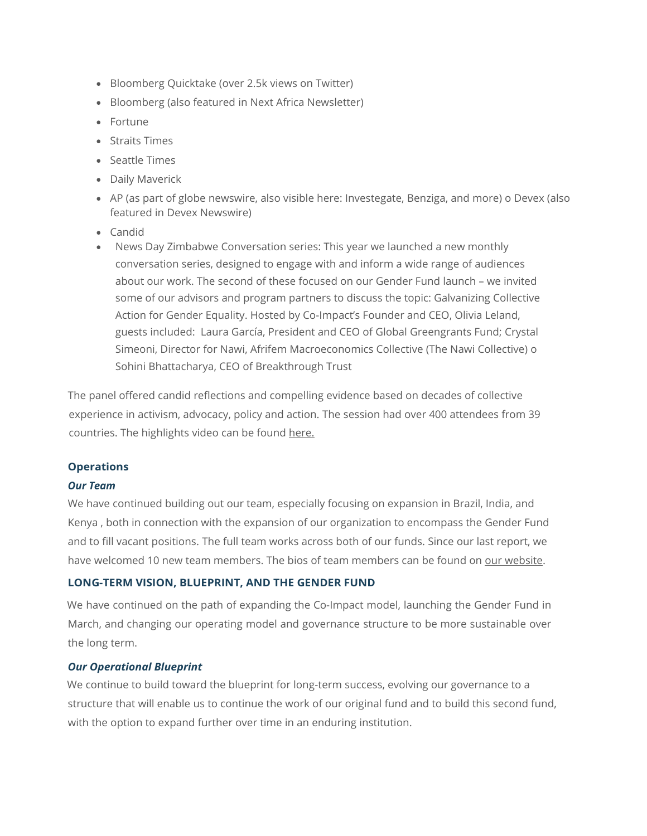- [Bloomberg](https://www.bloomberg.com/news/videos/2022-03-17/fighting-for-gender-equality-via-philanthropy-video) Quicktake (over 2.5k views on [Twitter\)](https://twitter.com/Quicktake/status/1504552468038000642)
- [Bloomberg](https://nam12.safelinks.protection.outlook.com/?url=https%3A%2F%2Fwww.bloomberg.com%2Fnews%2Farticles%2F2022-03-17%2Ffrench-gates-is-among-benefactors-backing-1-billion-gender-fund&data=04%7C01%7Colivia%40co-impact.org%7C1d736939ab21457e1a2708da083d43b7%7Cff886c0725a64b23923b0b41714e4f72%7C0%7C0%7C637831357256933001%7CUnknown%7CTWFpbGZsb3d8eyJWIjoiMC4wLjAwMDAiLCJQIjoiV2luMzIiLCJBTiI6Ik1haWwiLCJXVCI6Mn0%3D%7C1000&sdata=i%2Bz8hWU62%2FJMNr2HsFoCZRb4OHuPgkmQjc5nfIBQSSQ%3D&reserved=0) (also featured in Next Africa [Newsletter\)](https://www.bloomberg.com/news/newsletters/2022-03-18/next-africa-the-continent-pays-the-price-of-a-european-war?srnd=economics-vp)
- [Fortune](https://nam12.safelinks.protection.outlook.com/?url=https%3A%2F%2Ffortune.com%2F2022%2F03%2F17%2Fmelinda-french-gates-mackenzie-scott-1-billion-gender-fund-equality-women-leadership%2F&data=04%7C01%7Colivia%40co-impact.org%7C1d736939ab21457e1a2708da083d43b7%7Cff886c0725a64b23923b0b41714e4f72%7C0%7C0%7C637831357256933001%7CUnknown%7CTWFpbGZsb3d8eyJWIjoiMC4wLjAwMDAiLCJQIjoiV2luMzIiLCJBTiI6Ik1haWwiLCJXVCI6Mn0%3D%7C1000&sdata=fGspL6XwWUqFJZsRilqzE%2FK%2FcuOI3nCOQ1AD01PuxqI%3D&reserved=0)
- [Straits](https://nam12.safelinks.protection.outlook.com/?url=https%3A%2F%2Fwww.straitstimes.com%2Fworld%2Funited-states%2Fmelinda-french-gates-and-mackenzie-scott-are-backing-136-billion-gender-fund&data=04%7C01%7Colivia%40co-impact.org%7C1d736939ab21457e1a2708da083d43b7%7Cff886c0725a64b23923b0b41714e4f72%7C0%7C0%7C637831357256933001%7CUnknown%7CTWFpbGZsb3d8eyJWIjoiMC4wLjAwMDAiLCJQIjoiV2luMzIiLCJBTiI6Ik1haWwiLCJXVCI6Mn0%3D%7C1000&sdata=XoKdL4qok0bsdUATKWyGqS4M0lFRHYW9RZyZh7csoA4%3D&reserved=0) Times
- [Seattle](https://nam12.safelinks.protection.outlook.com/?url=https%3A%2F%2Fwww.seattletimes.com%2Fnation-world%2Fmelinda-french-gates-and-mackenzie-scott-are-backing-1b-gender-fund%2F%3Famp%3D1&data=04%7C01%7Colivia%40co-impact.org%7C1d736939ab21457e1a2708da083d43b7%7Cff886c0725a64b23923b0b41714e4f72%7C0%7C0%7C637831357256933001%7CUnknown%7CTWFpbGZsb3d8eyJWIjoiMC4wLjAwMDAiLCJQIjoiV2luMzIiLCJBTiI6Ik1haWwiLCJXVCI6Mn0%3D%7C1000&sdata=VUJGvUHEPQlbDem7kRfcVor4vh%2Fgv8DWItn8uE1HUd8%3D&reserved=0) Times
- [Daily Maverick](https://nam12.safelinks.protection.outlook.com/?url=https%3A%2F%2Fwww.dailymaverick.co.za%2Farticle%2F2022-03-17-melinda-french-gates-and-mackenzie-scott-among-backers-of-1-billion-gender-fund%2F%3Futm_term%3DAutofeed%26utm_medium%3DSocial%26utm_source%3DTwitter%23Echobox%3D1647488529&data=04%7C01%7Colivia%40co-impact.org%7C1d736939ab21457e1a2708da083d43b7%7Cff886c0725a64b23923b0b41714e4f72%7C0%7C0%7C637831357256933001%7CUnknown%7CTWFpbGZsb3d8eyJWIjoiMC4wLjAwMDAiLCJQIjoiV2luMzIiLCJBTiI6Ik1haWwiLCJXVCI6Mn0%3D%7C1000&sdata=3ZsI9o5Emxku1aXwbOdensEa1ZvPyRWCt%2Blogy4rZFw%3D&reserved=0)
- [AP](https://nam12.safelinks.protection.outlook.com/?url=https%3A%2F%2Fapnews.com%2Fpress-release%2Fglobe-newswire%2Fbusiness-africa-philanthropy-kenya-rockefeller-foundation-59b61422b7ec0bd7866b20cc7c36171b&data=04%7C01%7Colivia%40co-impact.org%7C1d736939ab21457e1a2708da083d43b7%7Cff886c0725a64b23923b0b41714e4f72%7C0%7C0%7C637831357256933001%7CUnknown%7CTWFpbGZsb3d8eyJWIjoiMC4wLjAwMDAiLCJQIjoiV2luMzIiLCJBTiI6Ik1haWwiLCJXVCI6Mn0%3D%7C1000&sdata=LQxVIiUFYX95eZEkIEa7W3pRu79TCpAJ1dJODWorbmo%3D&reserved=0) [\(a](https://nam12.safelinks.protection.outlook.com/?url=https%3A%2F%2Fapnews.com%2Fpress-release%2Fglobe-newswire%2Fbusiness-africa-philanthropy-kenya-rockefeller-foundation-59b61422b7ec0bd7866b20cc7c36171b&data=04%7C01%7Colivia%40co-impact.org%7C1d736939ab21457e1a2708da083d43b7%7Cff886c0725a64b23923b0b41714e4f72%7C0%7C0%7C637831357256933001%7CUnknown%7CTWFpbGZsb3d8eyJWIjoiMC4wLjAwMDAiLCJQIjoiV2luMzIiLCJBTiI6Ik1haWwiLCJXVCI6Mn0%3D%7C1000&sdata=LQxVIiUFYX95eZEkIEa7W3pRu79TCpAJ1dJODWorbmo%3D&reserved=0)s part of globe [newswire, a](https://nam12.safelinks.protection.outlook.com/?url=https%3A%2F%2Fwww.globenewswire.com%2Fnews-release%2F2022%2F03%2F17%2F2404899%2F0%2Fen%2FLeaders-Launch-New-1bn-Gender-Fund-to-Advance-Global-Equality-and-Women-s-Leadership.html&data=04%7C01%7Colivia%40co-impact.org%7C1d736939ab21457e1a2708da083d43b7%7Cff886c0725a64b23923b0b41714e4f72%7C0%7C0%7C637831357256933001%7CUnknown%7CTWFpbGZsb3d8eyJWIjoiMC4wLjAwMDAiLCJQIjoiV2luMzIiLCJBTiI6Ik1haWwiLCJXVCI6Mn0%3D%7C1000&sdata=TXCiq5QpW5vyVPZQn4JFgjMO6FdDYGGCKyzYom6seKA%3D&reserved=0)lso visible here: [Investegate](https://nam12.safelinks.protection.outlook.com/?url=https%3A%2F%2Fwww.investegate.co.uk%2Fco-impact%2Fgnw%2Fleaders-launch-new--1bn-gender-fund-to-advance-global-equality-and-women-s-leadership%2F20220317040100H4872%2F&data=04%7C01%7Colivia%40co-impact.org%7C1d736939ab21457e1a2708da083d43b7%7Cff886c0725a64b23923b0b41714e4f72%7C0%7C0%7C637831357256933001%7CUnknown%7CTWFpbGZsb3d8eyJWIjoiMC4wLjAwMDAiLCJQIjoiV2luMzIiLCJBTiI6Ik1haWwiLCJXVCI6Mn0%3D%7C1000&sdata=B5caNK6zNJ%2FpZp64WcuLwqgiRl2REhxHjqyBflRFNV4%3D&reserved=0)[, Benziga, a](https://nam12.safelinks.protection.outlook.com/?url=https%3A%2F%2Fwww.benzinga.com%2Fpressreleases%2F22%2F03%2Fg26176984%2Fleaders-launch-new-1bn-gender-fund-to-advance-global-equality-and-womens-leadership&data=04%7C01%7Colivia%40co-impact.org%7C1d736939ab21457e1a2708da083d43b7%7Cff886c0725a64b23923b0b41714e4f72%7C0%7C0%7C637831357256933001%7CUnknown%7CTWFpbGZsb3d8eyJWIjoiMC4wLjAwMDAiLCJQIjoiV2luMzIiLCJBTiI6Ik1haWwiLCJXVCI6Mn0%3D%7C1000&sdata=HCVnnZIpi3sJz%2FvkZjM2HZIRv9mSTykB3OHSCXJCBkE%3D&reserved=0)nd more) o [Devex](https://nam12.safelinks.protection.outlook.com/?url=https%3A%2F%2Fwww.devex.com%2Fnews%2Fgrantees-announced-for-1b-gender-fund-backed-by-women-philanthropists-102866&data=04%7C01%7Colivia%40co-impact.org%7C1d736939ab21457e1a2708da083d43b7%7Cff886c0725a64b23923b0b41714e4f72%7C0%7C0%7C637831357256933001%7CUnknown%7CTWFpbGZsb3d8eyJWIjoiMC4wLjAwMDAiLCJQIjoiV2luMzIiLCJBTiI6Ik1haWwiLCJXVCI6Mn0%3D%7C1000&sdata=JUMUBvFT2vESJdffEKuZHX%2F9%2FZB%2FK8T%2BmCADue6SG24%3D&reserved=0) (also featured in Devex [Newswire\)](https://www.devex.com/news/devex-newswire-somalia-is-running-out-of-time-102871)
- [Candid](https://nam12.safelinks.protection.outlook.com/?url=https%3A%2F%2Fphilanthropynewsdigest.org%2Fnews%2Fco-impact-announces-launch-of-1-billion-gender-fund&data=04%7C01%7Colivia%40co-impact.org%7C1d736939ab21457e1a2708da083d43b7%7Cff886c0725a64b23923b0b41714e4f72%7C0%7C0%7C637831357256933001%7CUnknown%7CTWFpbGZsb3d8eyJWIjoiMC4wLjAwMDAiLCJQIjoiV2luMzIiLCJBTiI6Ik1haWwiLCJXVCI6Mn0%3D%7C1000&sdata=BKoTFesHFSVENFt5AEXMDGSNZMm8R3KCqOzupDSYnUY%3D&reserved=0)
- News Day [Zimbabwe](https://www.newsday.co.zw/2022/03/us1bn-mobilised-to-fight-gender-inequality/) Conversation series: This year we launched a new monthly conversation series, designed to engage with and inform a wide range of audiences about our work. The second of these focused on our Gender Fund launch – we invited some of our advisors and program partners to discuss the topic: Galvanizing Collective Action for Gender Equality. Hosted by Co-Impact's Founder and CEO, Olivia Leland, guests included: [Laura](https://www.linkedin.com/in/laura-garcia-6136963/) [García, P](https://www.linkedin.com/in/laura-garcia-6136963/)resident and CEO of [Global](https://www.greengrants.org/) [Greengrants Fund;](https://www.greengrants.org/) [Crystal](https://www.linkedin.com/in/crystalsimeoni/)  [Simeoni, D](https://www.linkedin.com/in/crystalsimeoni/)irector for Nawi, [Afrifem Macroeconomics Collective \(The Nawi](https://www.nawi.africa/) [Collective\) o](https://www.nawi.africa/) Sohini [Bhattacharya, C](https://www.linkedin.com/in/sohini-bhattacharya-49133b/)EO of [Breakthrough](https://inbreakthrough.org/) Trust

The panel offered candid reflections and compelling evidence based on decades of collective experience in activism, advocacy, policy and action. The session had over 400 attendees from 39 countries. The highlights video can be found [here.](https://www.youtube.com/watch?v=t28SZD0LDLk)

#### **Operations**

#### *Our Team*

We have continued building out our team, especially focusing on expansion in Brazil, India, and Kenya , both in connection with the expansion of our organization to encompass the Gender Fund and to fill vacant positions. The full team works across both of our funds. Since our last report, we have welcomed 10 new team members. The bios of team members can be found on our website.

#### **LONG-TERM VISION, BLUEPRINT, AND THE GENDER FUND**

We have continued on the path of expanding the Co-Impact model, launching the Gender Fund in March, and changing our operating model and governance structure to be more sustainable over the long term.

#### *Our Operational Blueprint*

We continue to build toward the blueprint for long-term success, evolving our governance to a structure that will enable us to continue the work of our original fund and to build this second fund, with the option to expand further over time in an enduring institution.